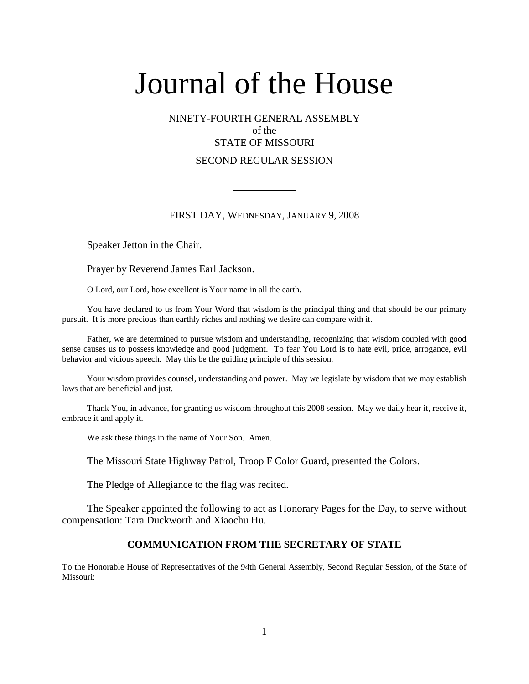## NINETY-FOURTH GENERAL ASSEMBLY of the STATE OF MISSOURI SECOND REGULAR SESSION

#### FIRST DAY, WEDNESDAY, JANUARY 9, 2008

Speaker Jetton in the Chair.

Prayer by Reverend James Earl Jackson.

O Lord, our Lord, how excellent is Your name in all the earth.

You have declared to us from Your Word that wisdom is the principal thing and that should be our primary pursuit. It is more precious than earthly riches and nothing we desire can compare with it.

Father, we are determined to pursue wisdom and understanding, recognizing that wisdom coupled with good sense causes us to possess knowledge and good judgment. To fear You Lord is to hate evil, pride, arrogance, evil behavior and vicious speech. May this be the guiding principle of this session.

Your wisdom provides counsel, understanding and power. May we legislate by wisdom that we may establish laws that are beneficial and just.

Thank You, in advance, for granting us wisdom throughout this 2008 session. May we daily hear it, receive it, embrace it and apply it.

We ask these things in the name of Your Son. Amen.

The Missouri State Highway Patrol, Troop F Color Guard, presented the Colors.

The Pledge of Allegiance to the flag was recited.

The Speaker appointed the following to act as Honorary Pages for the Day, to serve without compensation: Tara Duckworth and Xiaochu Hu.

#### **COMMUNICATION FROM THE SECRETARY OF STATE**

To the Honorable House of Representatives of the 94th General Assembly, Second Regular Session, of the State of Missouri: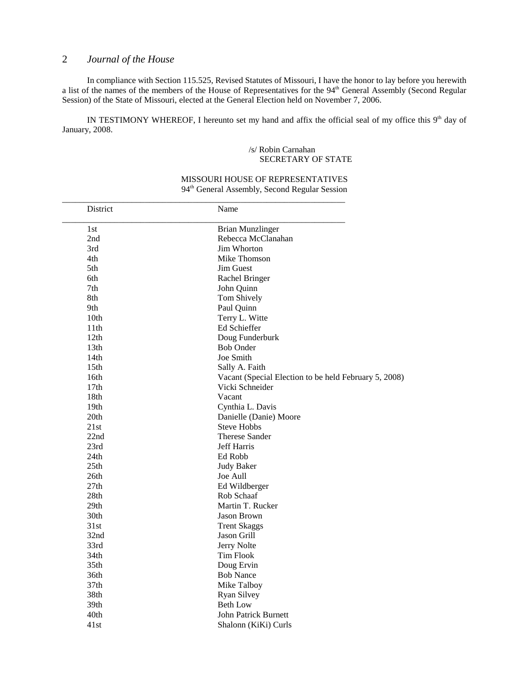In compliance with Section 115.525, Revised Statutes of Missouri, I have the honor to lay before you herewith a list of the names of the members of the House of Representatives for the 94<sup>th</sup> General Assembly (Second Regular Session) of the State of Missouri, elected at the General Election held on November 7, 2006.

IN TESTIMONY WHEREOF, I hereunto set my hand and affix the official seal of my office this 9<sup>th</sup> day of January, 2008.

#### /s/ Robin Carnahan SECRETARY OF STATE

| District         | Name                                                  |
|------------------|-------------------------------------------------------|
| 1st              | <b>Brian Munzlinger</b>                               |
| 2nd              | Rebecca McClanahan                                    |
| 3rd              | <b>Jim Whorton</b>                                    |
| 4th              | Mike Thomson                                          |
| 5th              | <b>Jim Guest</b>                                      |
| 6th              | Rachel Bringer                                        |
| 7th              | John Quinn                                            |
| 8th              | Tom Shively                                           |
| 9th              | Paul Quinn                                            |
| 10 <sub>th</sub> | Terry L. Witte                                        |
| 11th             | Ed Schieffer                                          |
| 12th             | Doug Funderburk                                       |
| 13th             | <b>Bob Onder</b>                                      |
| 14th             | Joe Smith                                             |
| 15 <sub>th</sub> | Sally A. Faith                                        |
| 16th             | Vacant (Special Election to be held February 5, 2008) |
| 17 <sub>th</sub> | Vicki Schneider                                       |
| 18th             | Vacant                                                |
| 19th             | Cynthia L. Davis                                      |
| 20th             | Danielle (Danie) Moore                                |
| 21st             | <b>Steve Hobbs</b>                                    |
| 22nd             | <b>Therese Sander</b>                                 |
| 23rd             | <b>Jeff Harris</b>                                    |
| 24th             | Ed Robb                                               |
| 25th             | <b>Judy Baker</b>                                     |
| 26th             | Joe Aull                                              |
| 27th             | Ed Wildberger                                         |
| 28th             | Rob Schaaf                                            |
| 29 <sub>th</sub> | Martin T. Rucker                                      |
| 30th             | <b>Jason Brown</b>                                    |
| 31st             | <b>Trent Skaggs</b>                                   |
| 32nd             | Jason Grill                                           |
| 33rd             | Jerry Nolte                                           |
| 34th             | <b>Tim Flook</b>                                      |
| 35th             | Doug Ervin                                            |
| 36th             | <b>Bob Nance</b>                                      |
| 37 <sub>th</sub> | Mike Talboy                                           |
| 38th             | <b>Ryan Silvey</b>                                    |
| 39th             | <b>Beth Low</b>                                       |
| 40th             | <b>John Patrick Burnett</b>                           |
| 41st             | Shalonn (KiKi) Curls                                  |

#### MISSOURI HOUSE OF REPRESENTATIVES 94th General Assembly, Second Regular Session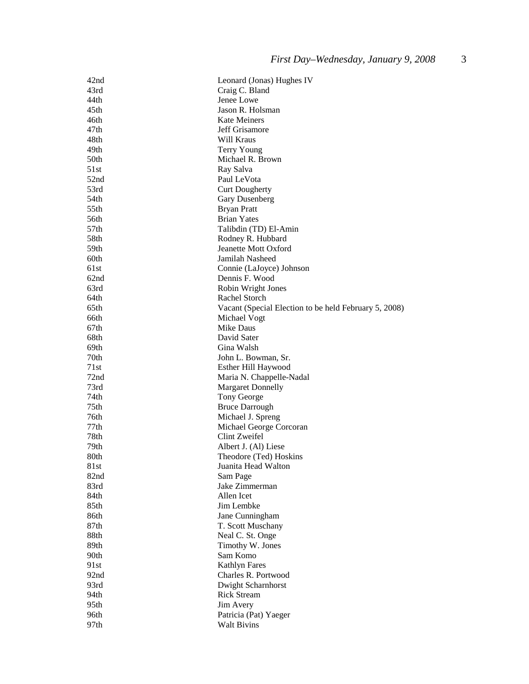| 42nd             | Leonard (Jonas) Hughes IV                             |
|------------------|-------------------------------------------------------|
| 43rd             | Craig C. Bland                                        |
| 44th             | Jenee Lowe                                            |
| 45 <sub>th</sub> | Jason R. Holsman                                      |
| 46th             | <b>Kate Meiners</b>                                   |
| 47th             | Jeff Grisamore                                        |
| 48th             | Will Kraus                                            |
| 49th             | Terry Young                                           |
| 50th             | Michael R. Brown                                      |
| 51st             | Ray Salva                                             |
| 52nd             | Paul LeVota                                           |
| 53rd             | <b>Curt Dougherty</b>                                 |
| 54th             | Gary Dusenberg                                        |
| 55th             | <b>Bryan Pratt</b>                                    |
| 56th             | <b>Brian Yates</b>                                    |
|                  |                                                       |
| 57 <sub>th</sub> | Talibdin (TD) El-Amin                                 |
| 58th             | Rodney R. Hubbard                                     |
| 59th             | Jeanette Mott Oxford                                  |
| 60th             | Jamilah Nasheed                                       |
| 61st             | Connie (LaJoyce) Johnson                              |
| 62nd             | Dennis F. Wood                                        |
| 63rd             | Robin Wright Jones                                    |
| 64th             | Rachel Storch                                         |
| 65th             | Vacant (Special Election to be held February 5, 2008) |
| 66th             | Michael Vogt                                          |
| 67th             | Mike Daus                                             |
| 68th             | David Sater                                           |
| 69th             | Gina Walsh                                            |
| 70th             | John L. Bowman, Sr.                                   |
| 71st             | Esther Hill Haywood                                   |
| 72 <sub>nd</sub> | Maria N. Chappelle-Nadal                              |
| 73rd             | <b>Margaret Donnelly</b>                              |
| 74th             | Tony George                                           |
| 75th             | <b>Bruce Darrough</b>                                 |
| 76th             | Michael J. Spreng                                     |
| 77th             | Michael George Corcoran                               |
| 78th             | Clint Zweifel                                         |
| 79th             | Albert J. (Al) Liese                                  |
| 80th             | Theodore (Ted) Hoskins                                |
| 81st             | Juanita Head Walton                                   |
| 82nd             | Sam Page                                              |
| 83rd             | Jake Zimmerman                                        |
| 84th             | Allen Icet                                            |
| 85th             | Jim Lembke                                            |
| 86th             | Jane Cunningham                                       |
| 87th             | T. Scott Muschany                                     |
| 88th             | Neal C. St. Onge                                      |
| 89th             | Timothy W. Jones                                      |
| 90th             | Sam Komo                                              |
| 91st             | <b>Kathlyn Fares</b>                                  |
| 92nd             | Charles R. Portwood                                   |
| 93rd             | Dwight Scharnhorst                                    |
| 94th             | <b>Rick Stream</b>                                    |
|                  |                                                       |
| 95th             | Jim Avery                                             |
| 96th             | Patricia (Pat) Yaeger                                 |
| 97th             | <b>Walt Bivins</b>                                    |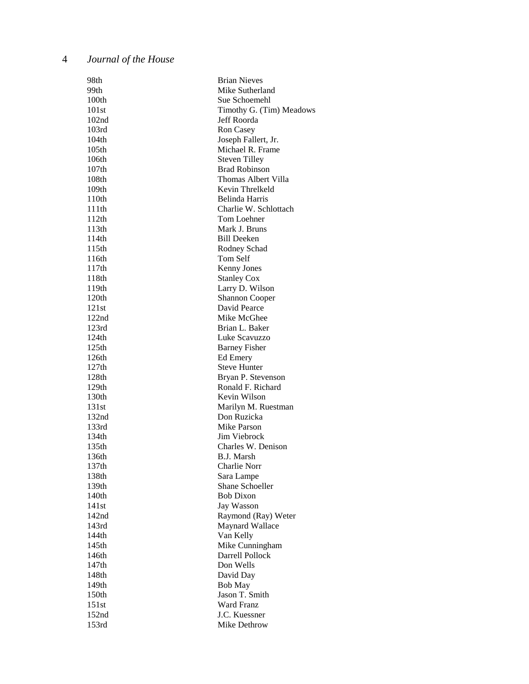| 98th                       | <b>Brian Nieves</b>                   |
|----------------------------|---------------------------------------|
| 99th                       | Mike Sutherland                       |
| 100th                      | Sue Schoemehl                         |
| 101st                      | Timothy G. (Tim) Meadows              |
| 102nd                      | Jeff Roorda                           |
| 103rd                      | Ron Casey                             |
| 104th                      | Joseph Fallert, Jr.                   |
| 105th                      | Michael R. Frame                      |
| 106th                      | <b>Steven Tilley</b>                  |
| 107 <sub>th</sub>          | <b>Brad Robinson</b>                  |
| 108th                      | Thomas Albert Villa                   |
| 109 <sub>th</sub>          | Kevin Threlkeld                       |
| 110th                      | <b>Belinda Harris</b>                 |
| 111th                      | Charlie W. Schlottach                 |
| 112th                      | Tom Loehner                           |
| 113th                      | Mark J. Bruns                         |
| 114th                      | Bill Deeken                           |
| 115th                      | Rodney Schad                          |
| 116th                      | Tom Self                              |
|                            |                                       |
| 117th<br>118th             | Kenny Jones                           |
|                            | <b>Stanley Cox</b>                    |
| 119th                      | Larry D. Wilson                       |
| 120 <sub>th</sub><br>121st | <b>Shannon Cooper</b><br>David Pearce |
|                            | Mike McGhee                           |
| 122nd                      |                                       |
| 123rd                      | Brian L. Baker                        |
| 124th                      | Luke Scavuzzo                         |
| 125th                      | <b>Barney Fisher</b>                  |
| 126th                      | Ed Emery                              |
| 127th                      | <b>Steve Hunter</b>                   |
| 128 <sub>th</sub>          | Bryan P. Stevenson                    |
| 129th                      | Ronald F. Richard                     |
| 130th                      | Kevin Wilson                          |
| 131st                      | Marilyn M. Ruestman                   |
| 132 <sub>nd</sub>          | Don Ruzicka                           |
| 133rd                      | Mike Parson                           |
| 134th                      | Jim Viebrock                          |
| 135th                      | Charles W. Denison                    |
| 136th                      | <b>B.J.</b> Marsh                     |
| 137th                      | Charlie Norr                          |
| 138th                      | Sara Lampe                            |
| 139th                      | <b>Shane Schoeller</b>                |
| 140th                      | <b>Bob Dixon</b>                      |
| 141st                      | Jay Wasson                            |
| 142 <sub>nd</sub>          | Raymond (Ray) Weter                   |
| 143rd                      | Maynard Wallace                       |
| 144th                      | Van Kelly                             |
| 145 <sub>th</sub>          | Mike Cunningham                       |
| 146th                      | Darrell Pollock                       |
| 147 <sub>th</sub>          | Don Wells                             |
| 148th                      | David Day                             |
| 149th                      | <b>Bob May</b>                        |
| 150th                      | Jason T. Smith                        |
| 151st                      | Ward Franz                            |
| 152nd                      | J.C. Kuessner                         |
| 153rd                      | Mike Dethrow                          |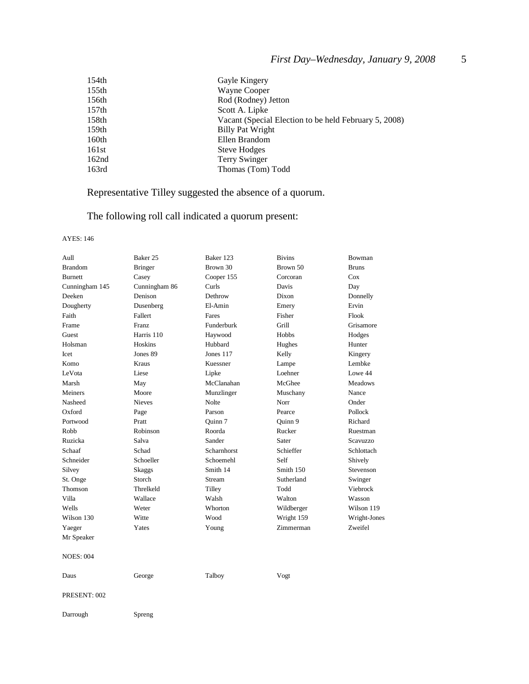| 154th             | Gayle Kingery                                         |
|-------------------|-------------------------------------------------------|
| 155th             | Wayne Cooper                                          |
| 156th             | Rod (Rodney) Jetton                                   |
| 157th             | Scott A. Lipke                                        |
| 158th             | Vacant (Special Election to be held February 5, 2008) |
| 159th             | Billy Pat Wright                                      |
| 160th             | Ellen Brandom                                         |
| 161st             | <b>Steve Hodges</b>                                   |
| 162 <sub>nd</sub> | <b>Terry Swinger</b>                                  |
| 163rd             | Thomas (Tom) Todd                                     |
|                   |                                                       |

# Representative Tilley suggested the absence of a quorum.

# The following roll call indicated a quorum present:

#### AYES: 146

| Aull             | Baker 25       | Baker 123   | <b>Bivins</b> | Bowman         |
|------------------|----------------|-------------|---------------|----------------|
| <b>Brandom</b>   | <b>Bringer</b> | Brown 30    | Brown 50      | <b>Bruns</b>   |
| <b>Burnett</b>   | Casey          | Cooper 155  | Corcoran      | Cox            |
| Cunningham 145   | Cunningham 86  | Curls       | Davis         | Day            |
| Deeken           | Denison        | Dethrow     | Dixon         | Donnelly       |
| Dougherty        | Dusenberg      | El-Amin     | Emery         | Ervin          |
| Faith            | Fallert        | Fares       | Fisher        | Flook          |
| Frame            | Franz          | Funderburk  | Grill         | Grisamore      |
| Guest            | Harris 110     | Haywood     | Hobbs         | Hodges         |
| Holsman          | Hoskins        | Hubbard     | Hughes        | Hunter         |
| Icet             | Jones 89       | Jones 117   | Kelly         | Kingery        |
| Komo             | Kraus          | Kuessner    | Lampe         | Lembke         |
| LeVota           | Liese          | Lipke       | Loehner       | Lowe 44        |
| Marsh            | May            | McClanahan  | McGhee        | <b>Meadows</b> |
| Meiners          | Moore          | Munzlinger  | Muschany      | Nance          |
| Nasheed          | <b>Nieves</b>  | Nolte       | Norr          | Onder          |
| Oxford           | Page           | Parson      | Pearce        | Pollock        |
| Portwood         | Pratt          | Ouinn 7     | Quinn 9       | Richard        |
| Robb             | Robinson       | Roorda      | Rucker        | Ruestman       |
| Ruzicka          | Salva          | Sander      | Sater         | Scavuzzo       |
| Schaaf           | Schad          | Scharnhorst | Schieffer     | Schlottach     |
| Schneider        | Schoeller      | Schoemehl   | Self          | Shively        |
| Silvey           | <b>Skaggs</b>  | Smith 14    | Smith 150     | Stevenson      |
| St. Onge         | Storch         | Stream      | Sutherland    | Swinger        |
| Thomson          | Threlkeld      | Tilley      | Todd          | Viebrock       |
| Villa            | Wallace        | Walsh       | Walton        | Wasson         |
| Wells            | Weter          | Whorton     | Wildberger    | Wilson 119     |
| Wilson 130       | Witte          | Wood        | Wright 159    | Wright-Jones   |
| Yaeger           | Yates          | Young       | Zimmerman     | Zweifel        |
| Mr Speaker       |                |             |               |                |
| <b>NOES: 004</b> |                |             |               |                |
| Daus             | George         | Talboy      | Vogt          |                |
| PRESENT: 002     |                |             |               |                |
| Darrough         | Spreng         |             |               |                |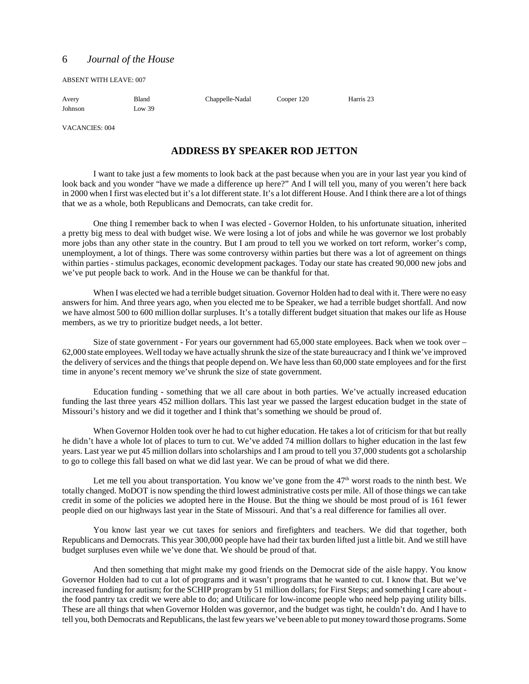ABSENT WITH LEAVE: 007

| Avery   | Bland  | Chappelle-Nadal | Cooper 120 | Harris 23 |
|---------|--------|-----------------|------------|-----------|
| Johnson | Low 39 |                 |            |           |

VACANCIES: 004

#### **ADDRESS BY SPEAKER ROD JETTON**

I want to take just a few moments to look back at the past because when you are in your last year you kind of look back and you wonder "have we made a difference up here?" And I will tell you, many of you weren't here back in 2000 when I first was elected but it's a lot different state. It's a lot different House. And I think there are a lot of things that we as a whole, both Republicans and Democrats, can take credit for.

One thing I remember back to when I was elected - Governor Holden, to his unfortunate situation, inherited a pretty big mess to deal with budget wise. We were losing a lot of jobs and while he was governor we lost probably more jobs than any other state in the country. But I am proud to tell you we worked on tort reform, worker's comp, unemployment, a lot of things. There was some controversy within parties but there was a lot of agreement on things within parties - stimulus packages, economic development packages. Today our state has created 90,000 new jobs and we've put people back to work. And in the House we can be thankful for that.

When I was elected we had a terrible budget situation. Governor Holden had to deal with it. There were no easy answers for him. And three years ago, when you elected me to be Speaker, we had a terrible budget shortfall. And now we have almost 500 to 600 million dollar surpluses. It's a totally different budget situation that makes our life as House members, as we try to prioritize budget needs, a lot better.

Size of state government - For years our government had 65,000 state employees. Back when we took over – 62,000 state employees. Well today we have actually shrunk the size of the state bureaucracy and I think we've improved the delivery of services and the things that people depend on. We have less than 60,000 state employees and for the first time in anyone's recent memory we've shrunk the size of state government.

Education funding - something that we all care about in both parties. We've actually increased education funding the last three years 452 million dollars. This last year we passed the largest education budget in the state of Missouri's history and we did it together and I think that's something we should be proud of.

When Governor Holden took over he had to cut higher education. He takes a lot of criticism for that but really he didn't have a whole lot of places to turn to cut. We've added 74 million dollars to higher education in the last few years. Last year we put 45 million dollars into scholarships and I am proud to tell you 37,000 students got a scholarship to go to college this fall based on what we did last year. We can be proud of what we did there.

Let me tell you about transportation. You know we've gone from the  $47<sup>th</sup>$  worst roads to the ninth best. We totally changed. MoDOT is now spending the third lowest administrative costs per mile. All of those things we can take credit in some of the policies we adopted here in the House. But the thing we should be most proud of is 161 fewer people died on our highways last year in the State of Missouri. And that's a real difference for families all over.

You know last year we cut taxes for seniors and firefighters and teachers. We did that together, both Republicans and Democrats. This year 300,000 people have had their tax burden lifted just a little bit. And we still have budget surpluses even while we've done that. We should be proud of that.

And then something that might make my good friends on the Democrat side of the aisle happy. You know Governor Holden had to cut a lot of programs and it wasn't programs that he wanted to cut. I know that. But we've increased funding for autism; for the SCHIP program by 51 million dollars; for First Steps; and something I care about the food pantry tax credit we were able to do; and Utilicare for low-income people who need help paying utility bills. These are all things that when Governor Holden was governor, and the budget was tight, he couldn't do. And I have to tell you, both Democrats and Republicans, the last few years we've been able to put money toward those programs. Some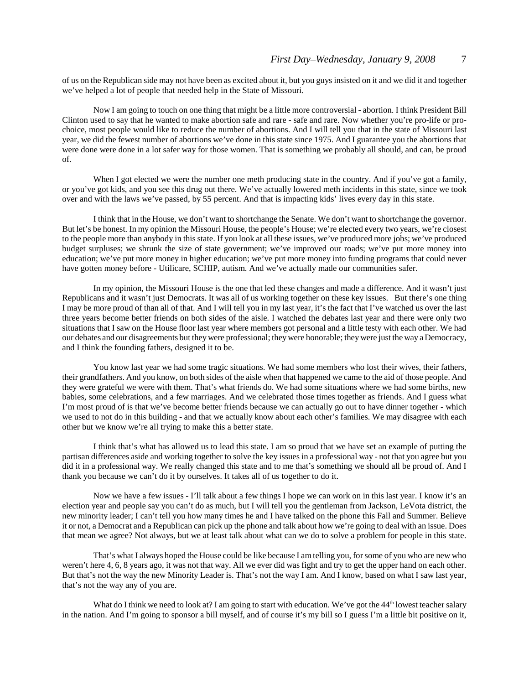of us on the Republican side may not have been as excited about it, but you guys insisted on it and we did it and together we've helped a lot of people that needed help in the State of Missouri.

Now I am going to touch on one thing that might be a little more controversial - abortion. I think President Bill Clinton used to say that he wanted to make abortion safe and rare - safe and rare. Now whether you're pro-life or prochoice, most people would like to reduce the number of abortions. And I will tell you that in the state of Missouri last year, we did the fewest number of abortions we've done in this state since 1975. And I guarantee you the abortions that were done were done in a lot safer way for those women. That is something we probably all should, and can, be proud of.

When I got elected we were the number one meth producing state in the country. And if you've got a family, or you've got kids, and you see this drug out there. We've actually lowered meth incidents in this state, since we took over and with the laws we've passed, by 55 percent. And that is impacting kids' lives every day in this state.

I think that in the House, we don't want to shortchange the Senate. We don't want to shortchange the governor. But let's be honest. In my opinion the Missouri House, the people's House; we're elected every two years, we're closest to the people more than anybody in this state. If you look at all these issues, we've produced more jobs; we've produced budget surpluses; we shrunk the size of state government; we've improved our roads; we've put more money into education; we've put more money in higher education; we've put more money into funding programs that could never have gotten money before - Utilicare, SCHIP, autism. And we've actually made our communities safer.

In my opinion, the Missouri House is the one that led these changes and made a difference. And it wasn't just Republicans and it wasn't just Democrats. It was all of us working together on these key issues. But there's one thing I may be more proud of than all of that. And I will tell you in my last year, it's the fact that I've watched us over the last three years become better friends on both sides of the aisle. I watched the debates last year and there were only two situations that I saw on the House floor last year where members got personal and a little testy with each other. We had our debates and our disagreements but they were professional; they were honorable; they were just the way a Democracy, and I think the founding fathers, designed it to be.

You know last year we had some tragic situations. We had some members who lost their wives, their fathers, their grandfathers. And you know, on both sides of the aisle when that happened we came to the aid of those people. And they were grateful we were with them. That's what friends do. We had some situations where we had some births, new babies, some celebrations, and a few marriages. And we celebrated those times together as friends. And I guess what I'm most proud of is that we've become better friends because we can actually go out to have dinner together - which we used to not do in this building - and that we actually know about each other's families. We may disagree with each other but we know we're all trying to make this a better state.

I think that's what has allowed us to lead this state. I am so proud that we have set an example of putting the partisan differences aside and working together to solve the key issues in a professional way - not that you agree but you did it in a professional way. We really changed this state and to me that's something we should all be proud of. And I thank you because we can't do it by ourselves. It takes all of us together to do it.

Now we have a few issues - I'll talk about a few things I hope we can work on in this last year. I know it's an election year and people say you can't do as much, but I will tell you the gentleman from Jackson, LeVota district, the new minority leader; I can't tell you how many times he and I have talked on the phone this Fall and Summer. Believe it or not, a Democrat and a Republican can pick up the phone and talk about how we're going to deal with an issue. Does that mean we agree? Not always, but we at least talk about what can we do to solve a problem for people in this state.

That's what I always hoped the House could be like because I am telling you, for some of you who are new who weren't here 4, 6, 8 years ago, it was not that way. All we ever did was fight and try to get the upper hand on each other. But that's not the way the new Minority Leader is. That's not the way I am. And I know, based on what I saw last year, that's not the way any of you are.

What do I think we need to look at? I am going to start with education. We've got the  $44<sup>th</sup>$  lowest teacher salary in the nation. And I'm going to sponsor a bill myself, and of course it's my bill so I guess I'm a little bit positive on it,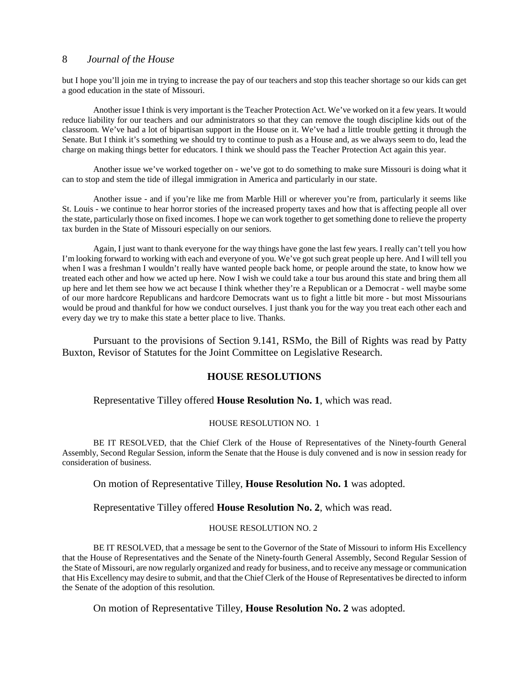but I hope you'll join me in trying to increase the pay of our teachers and stop this teacher shortage so our kids can get a good education in the state of Missouri.

Another issue I think is very important is the Teacher Protection Act. We've worked on it a few years. It would reduce liability for our teachers and our administrators so that they can remove the tough discipline kids out of the classroom. We've had a lot of bipartisan support in the House on it. We've had a little trouble getting it through the Senate. But I think it's something we should try to continue to push as a House and, as we always seem to do, lead the charge on making things better for educators. I think we should pass the Teacher Protection Act again this year.

Another issue we've worked together on - we've got to do something to make sure Missouri is doing what it can to stop and stem the tide of illegal immigration in America and particularly in our state.

Another issue - and if you're like me from Marble Hill or wherever you're from, particularly it seems like St. Louis - we continue to hear horror stories of the increased property taxes and how that is affecting people all over the state, particularly those on fixed incomes. I hope we can work together to get something done to relieve the property tax burden in the State of Missouri especially on our seniors.

Again, I just want to thank everyone for the way things have gone the last few years. I really can't tell you how I'm looking forward to working with each and everyone of you. We've got such great people up here. And I will tell you when I was a freshman I wouldn't really have wanted people back home, or people around the state, to know how we treated each other and how we acted up here. Now I wish we could take a tour bus around this state and bring them all up here and let them see how we act because I think whether they're a Republican or a Democrat - well maybe some of our more hardcore Republicans and hardcore Democrats want us to fight a little bit more - but most Missourians would be proud and thankful for how we conduct ourselves. I just thank you for the way you treat each other each and every day we try to make this state a better place to live. Thanks.

Pursuant to the provisions of Section 9.141, RSMo, the Bill of Rights was read by Patty Buxton, Revisor of Statutes for the Joint Committee on Legislative Research.

#### **HOUSE RESOLUTIONS**

Representative Tilley offered **House Resolution No. 1**, which was read.

#### HOUSE RESOLUTION NO. 1

BE IT RESOLVED, that the Chief Clerk of the House of Representatives of the Ninety-fourth General Assembly, Second Regular Session, inform the Senate that the House is duly convened and is now in session ready for consideration of business.

#### On motion of Representative Tilley, **House Resolution No. 1** was adopted.

Representative Tilley offered **House Resolution No. 2**, which was read.

#### HOUSE RESOLUTION NO. 2

BE IT RESOLVED, that a message be sent to the Governor of the State of Missouri to inform His Excellency that the House of Representatives and the Senate of the Ninety-fourth General Assembly, Second Regular Session of the State of Missouri, are now regularly organized and ready for business, and to receive any message or communication that His Excellency may desire to submit, and that the Chief Clerk of the House of Representatives be directed to inform the Senate of the adoption of this resolution.

On motion of Representative Tilley, **House Resolution No. 2** was adopted.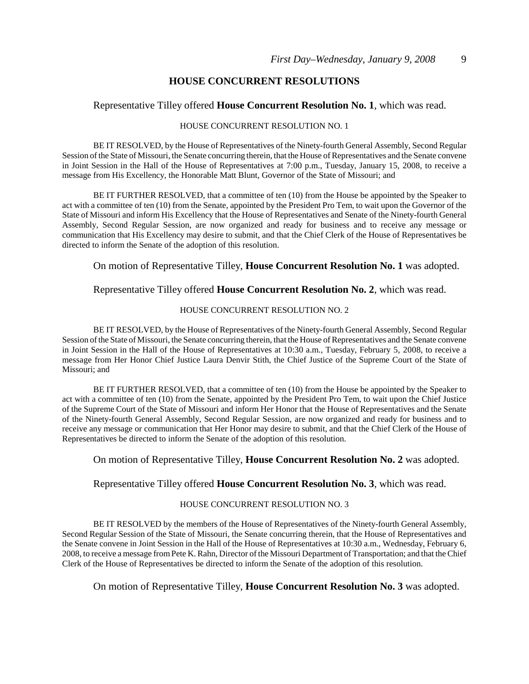#### **HOUSE CONCURRENT RESOLUTIONS**

#### Representative Tilley offered **House Concurrent Resolution No. 1**, which was read.

#### HOUSE CONCURRENT RESOLUTION NO. 1

BE IT RESOLVED, by the House of Representatives of the Ninety-fourth General Assembly, Second Regular Session of the State of Missouri, the Senate concurring therein, that the House of Representatives and the Senate convene in Joint Session in the Hall of the House of Representatives at 7:00 p.m., Tuesday, January 15, 2008, to receive a message from His Excellency, the Honorable Matt Blunt, Governor of the State of Missouri; and

BE IT FURTHER RESOLVED, that a committee of ten (10) from the House be appointed by the Speaker to act with a committee of ten (10) from the Senate, appointed by the President Pro Tem, to wait upon the Governor of the State of Missouri and inform His Excellency that the House of Representatives and Senate of the Ninety-fourth General Assembly, Second Regular Session, are now organized and ready for business and to receive any message or communication that His Excellency may desire to submit, and that the Chief Clerk of the House of Representatives be directed to inform the Senate of the adoption of this resolution.

On motion of Representative Tilley, **House Concurrent Resolution No. 1** was adopted.

#### Representative Tilley offered **House Concurrent Resolution No. 2**, which was read.

#### HOUSE CONCURRENT RESOLUTION NO. 2

BE IT RESOLVED, by the House of Representatives of the Ninety-fourth General Assembly, Second Regular Session of the State of Missouri, the Senate concurring therein, that the House of Representatives and the Senate convene in Joint Session in the Hall of the House of Representatives at 10:30 a.m., Tuesday, February 5, 2008, to receive a message from Her Honor Chief Justice Laura Denvir Stith, the Chief Justice of the Supreme Court of the State of Missouri; and

BE IT FURTHER RESOLVED, that a committee of ten (10) from the House be appointed by the Speaker to act with a committee of ten (10) from the Senate, appointed by the President Pro Tem, to wait upon the Chief Justice of the Supreme Court of the State of Missouri and inform Her Honor that the House of Representatives and the Senate of the Ninety-fourth General Assembly, Second Regular Session, are now organized and ready for business and to receive any message or communication that Her Honor may desire to submit, and that the Chief Clerk of the House of Representatives be directed to inform the Senate of the adoption of this resolution.

On motion of Representative Tilley, **House Concurrent Resolution No. 2** was adopted.

#### Representative Tilley offered **House Concurrent Resolution No. 3**, which was read.

#### HOUSE CONCURRENT RESOLUTION NO. 3

BE IT RESOLVED by the members of the House of Representatives of the Ninety-fourth General Assembly, Second Regular Session of the State of Missouri, the Senate concurring therein, that the House of Representatives and the Senate convene in Joint Session in the Hall of the House of Representatives at 10:30 a.m., Wednesday, February 6, 2008, to receive a message from Pete K. Rahn, Director of the Missouri Department of Transportation; and that the Chief Clerk of the House of Representatives be directed to inform the Senate of the adoption of this resolution.

On motion of Representative Tilley, **House Concurrent Resolution No. 3** was adopted.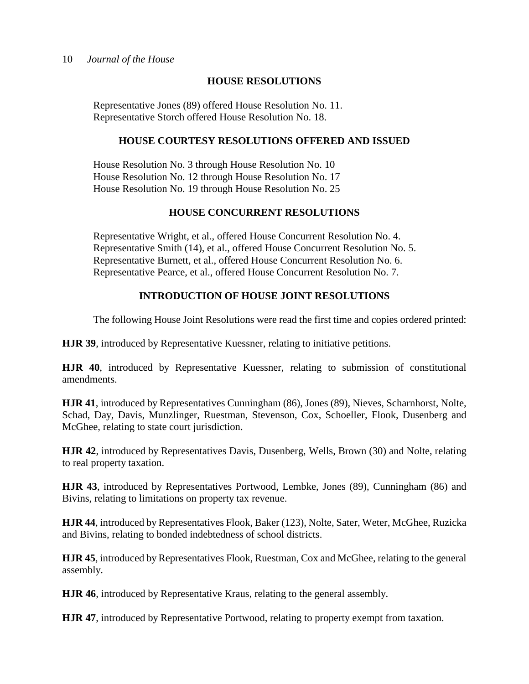## **HOUSE RESOLUTIONS**

Representative Jones (89) offered House Resolution No. 11. Representative Storch offered House Resolution No. 18.

#### **HOUSE COURTESY RESOLUTIONS OFFERED AND ISSUED**

House Resolution No. 3 through House Resolution No. 10 House Resolution No. 12 through House Resolution No. 17 House Resolution No. 19 through House Resolution No. 25

## **HOUSE CONCURRENT RESOLUTIONS**

Representative Wright, et al., offered House Concurrent Resolution No. 4. Representative Smith (14), et al., offered House Concurrent Resolution No. 5. Representative Burnett, et al., offered House Concurrent Resolution No. 6. Representative Pearce, et al., offered House Concurrent Resolution No. 7.

## **INTRODUCTION OF HOUSE JOINT RESOLUTIONS**

The following House Joint Resolutions were read the first time and copies ordered printed:

**HJR 39**, introduced by Representative Kuessner, relating to initiative petitions.

**HJR 40**, introduced by Representative Kuessner, relating to submission of constitutional amendments.

**HJR 41**, introduced by Representatives Cunningham (86), Jones (89), Nieves, Scharnhorst, Nolte, Schad, Day, Davis, Munzlinger, Ruestman, Stevenson, Cox, Schoeller, Flook, Dusenberg and McGhee, relating to state court jurisdiction.

**HJR 42**, introduced by Representatives Davis, Dusenberg, Wells, Brown (30) and Nolte, relating to real property taxation.

**HJR 43**, introduced by Representatives Portwood, Lembke, Jones (89), Cunningham (86) and Bivins, relating to limitations on property tax revenue.

**HJR 44**, introduced by Representatives Flook, Baker (123), Nolte, Sater, Weter, McGhee, Ruzicka and Bivins, relating to bonded indebtedness of school districts.

**HJR 45**, introduced by Representatives Flook, Ruestman, Cox and McGhee, relating to the general assembly.

**HJR 46**, introduced by Representative Kraus, relating to the general assembly.

**HJR 47**, introduced by Representative Portwood, relating to property exempt from taxation.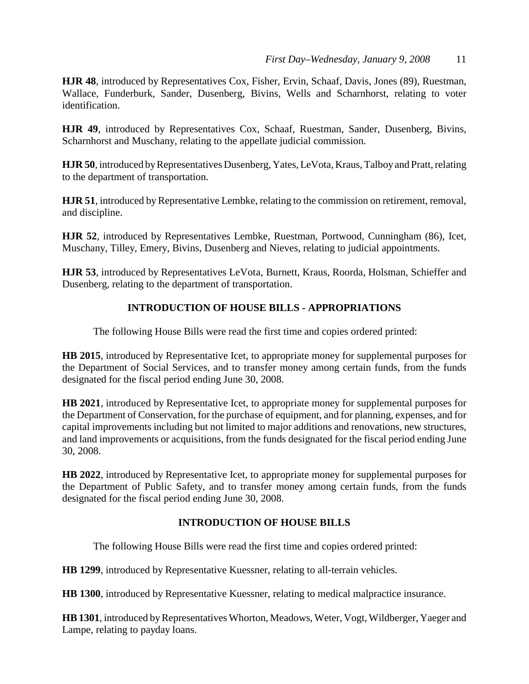**HJR 48**, introduced by Representatives Cox, Fisher, Ervin, Schaaf, Davis, Jones (89), Ruestman, Wallace, Funderburk, Sander, Dusenberg, Bivins, Wells and Scharnhorst, relating to voter identification.

**HJR 49**, introduced by Representatives Cox, Schaaf, Ruestman, Sander, Dusenberg, Bivins, Scharnhorst and Muschany, relating to the appellate judicial commission.

**HJR 50**, introduced by Representatives Dusenberg, Yates, LeVota, Kraus, Talboy and Pratt, relating to the department of transportation.

**HJR 51**, introduced by Representative Lembke, relating to the commission on retirement, removal, and discipline.

**HJR 52**, introduced by Representatives Lembke, Ruestman, Portwood, Cunningham (86), Icet, Muschany, Tilley, Emery, Bivins, Dusenberg and Nieves, relating to judicial appointments.

**HJR 53**, introduced by Representatives LeVota, Burnett, Kraus, Roorda, Holsman, Schieffer and Dusenberg, relating to the department of transportation.

## **INTRODUCTION OF HOUSE BILLS - APPROPRIATIONS**

The following House Bills were read the first time and copies ordered printed:

**HB 2015**, introduced by Representative Icet, to appropriate money for supplemental purposes for the Department of Social Services, and to transfer money among certain funds, from the funds designated for the fiscal period ending June 30, 2008.

**HB 2021**, introduced by Representative Icet, to appropriate money for supplemental purposes for the Department of Conservation, for the purchase of equipment, and for planning, expenses, and for capital improvements including but not limited to major additions and renovations, new structures, and land improvements or acquisitions, from the funds designated for the fiscal period ending June 30, 2008.

**HB 2022**, introduced by Representative Icet, to appropriate money for supplemental purposes for the Department of Public Safety, and to transfer money among certain funds, from the funds designated for the fiscal period ending June 30, 2008.

## **INTRODUCTION OF HOUSE BILLS**

The following House Bills were read the first time and copies ordered printed:

**HB 1299**, introduced by Representative Kuessner, relating to all-terrain vehicles.

**HB 1300**, introduced by Representative Kuessner, relating to medical malpractice insurance.

**HB 1301**, introduced by Representatives Whorton, Meadows, Weter, Vogt, Wildberger, Yaeger and Lampe, relating to payday loans.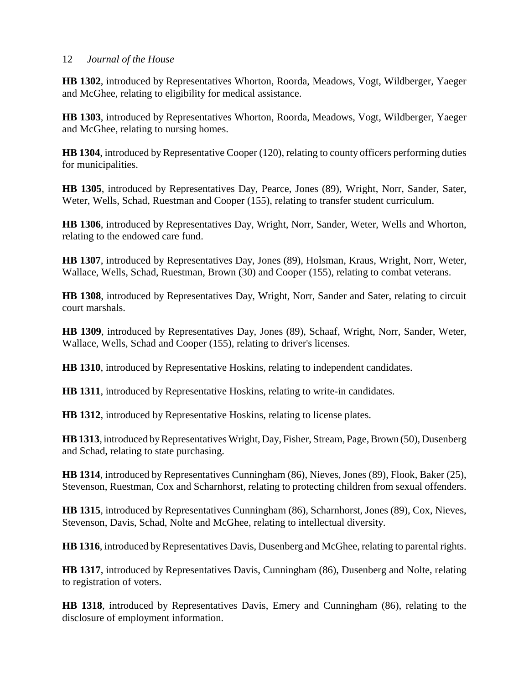**HB 1302**, introduced by Representatives Whorton, Roorda, Meadows, Vogt, Wildberger, Yaeger and McGhee, relating to eligibility for medical assistance.

**HB 1303**, introduced by Representatives Whorton, Roorda, Meadows, Vogt, Wildberger, Yaeger and McGhee, relating to nursing homes.

**HB 1304**, introduced by Representative Cooper (120), relating to county officers performing duties for municipalities.

**HB 1305**, introduced by Representatives Day, Pearce, Jones (89), Wright, Norr, Sander, Sater, Weter, Wells, Schad, Ruestman and Cooper (155), relating to transfer student curriculum.

**HB 1306**, introduced by Representatives Day, Wright, Norr, Sander, Weter, Wells and Whorton, relating to the endowed care fund.

**HB 1307**, introduced by Representatives Day, Jones (89), Holsman, Kraus, Wright, Norr, Weter, Wallace, Wells, Schad, Ruestman, Brown (30) and Cooper (155), relating to combat veterans.

**HB 1308**, introduced by Representatives Day, Wright, Norr, Sander and Sater, relating to circuit court marshals.

**HB 1309**, introduced by Representatives Day, Jones (89), Schaaf, Wright, Norr, Sander, Weter, Wallace, Wells, Schad and Cooper (155), relating to driver's licenses.

**HB 1310**, introduced by Representative Hoskins, relating to independent candidates.

**HB 1311**, introduced by Representative Hoskins, relating to write-in candidates.

**HB 1312**, introduced by Representative Hoskins, relating to license plates.

**HB 1313**, introduced by Representatives Wright, Day, Fisher, Stream, Page, Brown (50), Dusenberg and Schad, relating to state purchasing.

**HB 1314**, introduced by Representatives Cunningham (86), Nieves, Jones (89), Flook, Baker (25), Stevenson, Ruestman, Cox and Scharnhorst, relating to protecting children from sexual offenders.

**HB 1315**, introduced by Representatives Cunningham (86), Scharnhorst, Jones (89), Cox, Nieves, Stevenson, Davis, Schad, Nolte and McGhee, relating to intellectual diversity.

**HB 1316**, introduced by Representatives Davis, Dusenberg and McGhee, relating to parental rights.

**HB 1317**, introduced by Representatives Davis, Cunningham (86), Dusenberg and Nolte, relating to registration of voters.

**HB 1318**, introduced by Representatives Davis, Emery and Cunningham (86), relating to the disclosure of employment information.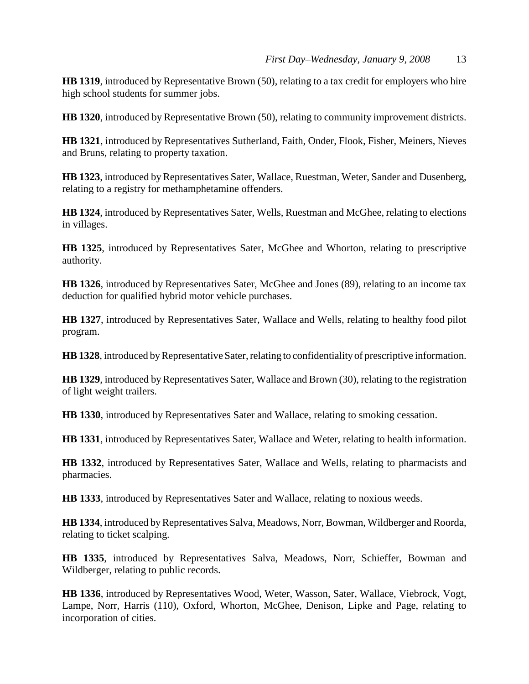**HB 1319**, introduced by Representative Brown (50), relating to a tax credit for employers who hire high school students for summer jobs.

**HB 1320**, introduced by Representative Brown (50), relating to community improvement districts.

**HB 1321**, introduced by Representatives Sutherland, Faith, Onder, Flook, Fisher, Meiners, Nieves and Bruns, relating to property taxation.

**HB 1323**, introduced by Representatives Sater, Wallace, Ruestman, Weter, Sander and Dusenberg, relating to a registry for methamphetamine offenders.

**HB 1324**, introduced by Representatives Sater, Wells, Ruestman and McGhee, relating to elections in villages.

**HB 1325**, introduced by Representatives Sater, McGhee and Whorton, relating to prescriptive authority.

**HB 1326**, introduced by Representatives Sater, McGhee and Jones (89), relating to an income tax deduction for qualified hybrid motor vehicle purchases.

**HB 1327**, introduced by Representatives Sater, Wallace and Wells, relating to healthy food pilot program.

**HB 1328**, introduced by Representative Sater, relating to confidentiality of prescriptive information.

**HB 1329**, introduced by Representatives Sater, Wallace and Brown (30), relating to the registration of light weight trailers.

**HB 1330**, introduced by Representatives Sater and Wallace, relating to smoking cessation.

**HB 1331**, introduced by Representatives Sater, Wallace and Weter, relating to health information.

**HB 1332**, introduced by Representatives Sater, Wallace and Wells, relating to pharmacists and pharmacies.

**HB 1333**, introduced by Representatives Sater and Wallace, relating to noxious weeds.

**HB 1334**, introduced by Representatives Salva, Meadows, Norr, Bowman, Wildberger and Roorda, relating to ticket scalping.

**HB 1335**, introduced by Representatives Salva, Meadows, Norr, Schieffer, Bowman and Wildberger, relating to public records.

**HB 1336**, introduced by Representatives Wood, Weter, Wasson, Sater, Wallace, Viebrock, Vogt, Lampe, Norr, Harris (110), Oxford, Whorton, McGhee, Denison, Lipke and Page, relating to incorporation of cities.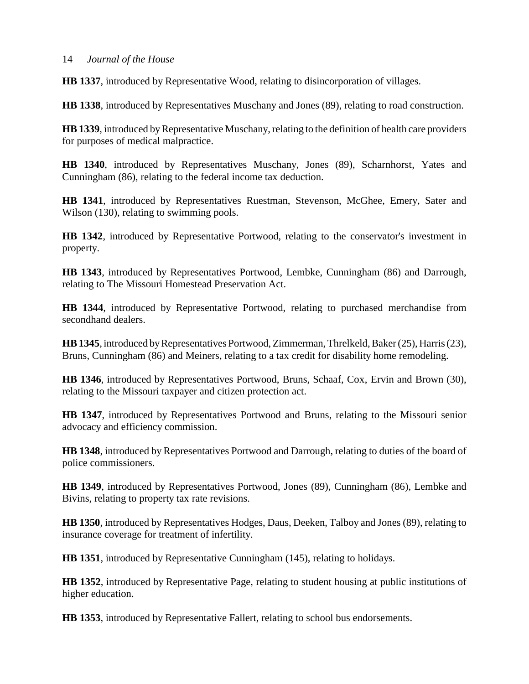**HB 1337**, introduced by Representative Wood, relating to disincorporation of villages.

**HB 1338**, introduced by Representatives Muschany and Jones (89), relating to road construction.

**HB 1339**, introduced by Representative Muschany, relating to the definition of health care providers for purposes of medical malpractice.

**HB 1340**, introduced by Representatives Muschany, Jones (89), Scharnhorst, Yates and Cunningham (86), relating to the federal income tax deduction.

**HB 1341**, introduced by Representatives Ruestman, Stevenson, McGhee, Emery, Sater and Wilson (130), relating to swimming pools.

**HB 1342**, introduced by Representative Portwood, relating to the conservator's investment in property.

**HB 1343**, introduced by Representatives Portwood, Lembke, Cunningham (86) and Darrough, relating to The Missouri Homestead Preservation Act.

**HB 1344**, introduced by Representative Portwood, relating to purchased merchandise from secondhand dealers.

**HB 1345**, introduced by Representatives Portwood, Zimmerman, Threlkeld, Baker (25), Harris (23), Bruns, Cunningham (86) and Meiners, relating to a tax credit for disability home remodeling.

**HB 1346**, introduced by Representatives Portwood, Bruns, Schaaf, Cox, Ervin and Brown (30), relating to the Missouri taxpayer and citizen protection act.

**HB 1347**, introduced by Representatives Portwood and Bruns, relating to the Missouri senior advocacy and efficiency commission.

**HB 1348**, introduced by Representatives Portwood and Darrough, relating to duties of the board of police commissioners.

**HB 1349**, introduced by Representatives Portwood, Jones (89), Cunningham (86), Lembke and Bivins, relating to property tax rate revisions.

**HB 1350**, introduced by Representatives Hodges, Daus, Deeken, Talboy and Jones (89), relating to insurance coverage for treatment of infertility.

**HB 1351**, introduced by Representative Cunningham (145), relating to holidays.

**HB 1352**, introduced by Representative Page, relating to student housing at public institutions of higher education.

**HB 1353**, introduced by Representative Fallert, relating to school bus endorsements.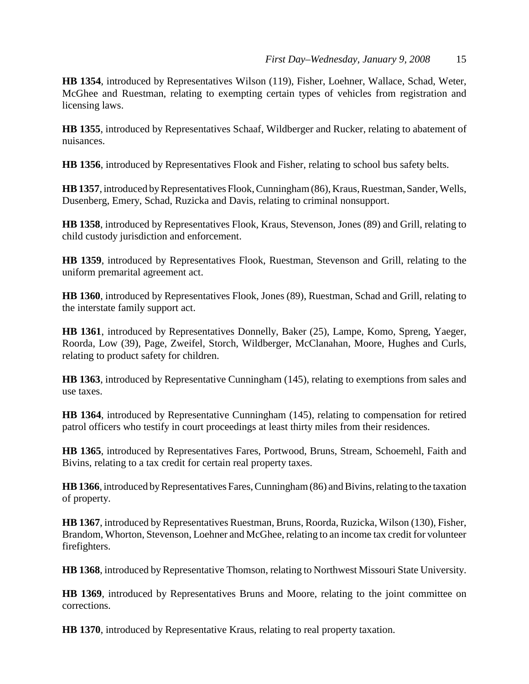**HB 1354**, introduced by Representatives Wilson (119), Fisher, Loehner, Wallace, Schad, Weter, McGhee and Ruestman, relating to exempting certain types of vehicles from registration and licensing laws.

**HB 1355**, introduced by Representatives Schaaf, Wildberger and Rucker, relating to abatement of nuisances.

**HB 1356**, introduced by Representatives Flook and Fisher, relating to school bus safety belts.

**HB 1357**, introduced by Representatives Flook, Cunningham (86), Kraus, Ruestman, Sander, Wells, Dusenberg, Emery, Schad, Ruzicka and Davis, relating to criminal nonsupport.

**HB 1358**, introduced by Representatives Flook, Kraus, Stevenson, Jones (89) and Grill, relating to child custody jurisdiction and enforcement.

**HB 1359**, introduced by Representatives Flook, Ruestman, Stevenson and Grill, relating to the uniform premarital agreement act.

**HB 1360**, introduced by Representatives Flook, Jones (89), Ruestman, Schad and Grill, relating to the interstate family support act.

**HB 1361**, introduced by Representatives Donnelly, Baker (25), Lampe, Komo, Spreng, Yaeger, Roorda, Low (39), Page, Zweifel, Storch, Wildberger, McClanahan, Moore, Hughes and Curls, relating to product safety for children.

**HB 1363**, introduced by Representative Cunningham (145), relating to exemptions from sales and use taxes.

**HB 1364**, introduced by Representative Cunningham (145), relating to compensation for retired patrol officers who testify in court proceedings at least thirty miles from their residences.

**HB 1365**, introduced by Representatives Fares, Portwood, Bruns, Stream, Schoemehl, Faith and Bivins, relating to a tax credit for certain real property taxes.

**HB 1366**, introduced by Representatives Fares, Cunningham (86) and Bivins, relating to the taxation of property.

**HB 1367**, introduced by Representatives Ruestman, Bruns, Roorda, Ruzicka, Wilson (130), Fisher, Brandom, Whorton, Stevenson, Loehner and McGhee, relating to an income tax credit for volunteer firefighters.

**HB 1368**, introduced by Representative Thomson, relating to Northwest Missouri State University.

**HB 1369**, introduced by Representatives Bruns and Moore, relating to the joint committee on corrections.

**HB 1370**, introduced by Representative Kraus, relating to real property taxation.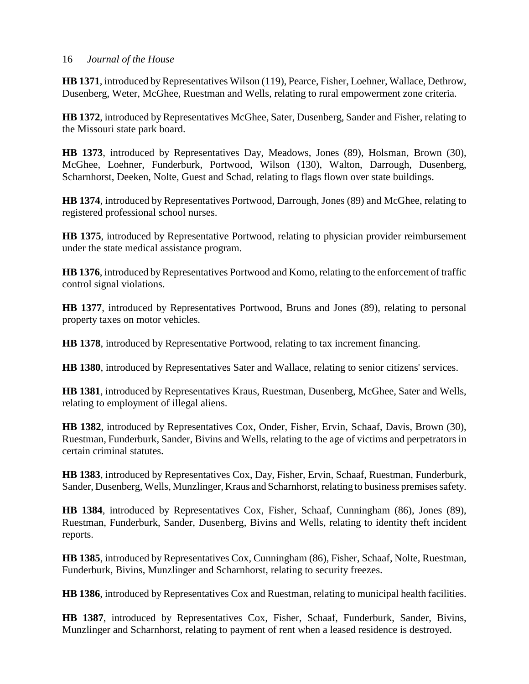**HB 1371**, introduced by Representatives Wilson (119), Pearce, Fisher, Loehner, Wallace, Dethrow, Dusenberg, Weter, McGhee, Ruestman and Wells, relating to rural empowerment zone criteria.

**HB 1372**, introduced by Representatives McGhee, Sater, Dusenberg, Sander and Fisher, relating to the Missouri state park board.

**HB 1373**, introduced by Representatives Day, Meadows, Jones (89), Holsman, Brown (30), McGhee, Loehner, Funderburk, Portwood, Wilson (130), Walton, Darrough, Dusenberg, Scharnhorst, Deeken, Nolte, Guest and Schad, relating to flags flown over state buildings.

**HB 1374**, introduced by Representatives Portwood, Darrough, Jones (89) and McGhee, relating to registered professional school nurses.

**HB 1375**, introduced by Representative Portwood, relating to physician provider reimbursement under the state medical assistance program.

**HB 1376**, introduced by Representatives Portwood and Komo, relating to the enforcement of traffic control signal violations.

**HB 1377**, introduced by Representatives Portwood, Bruns and Jones (89), relating to personal property taxes on motor vehicles.

**HB 1378**, introduced by Representative Portwood, relating to tax increment financing.

**HB 1380**, introduced by Representatives Sater and Wallace, relating to senior citizens' services.

**HB 1381**, introduced by Representatives Kraus, Ruestman, Dusenberg, McGhee, Sater and Wells, relating to employment of illegal aliens.

**HB 1382**, introduced by Representatives Cox, Onder, Fisher, Ervin, Schaaf, Davis, Brown (30), Ruestman, Funderburk, Sander, Bivins and Wells, relating to the age of victims and perpetrators in certain criminal statutes.

**HB 1383**, introduced by Representatives Cox, Day, Fisher, Ervin, Schaaf, Ruestman, Funderburk, Sander, Dusenberg, Wells, Munzlinger, Kraus and Scharnhorst, relating to business premises safety.

**HB 1384**, introduced by Representatives Cox, Fisher, Schaaf, Cunningham (86), Jones (89), Ruestman, Funderburk, Sander, Dusenberg, Bivins and Wells, relating to identity theft incident reports.

**HB 1385**, introduced by Representatives Cox, Cunningham (86), Fisher, Schaaf, Nolte, Ruestman, Funderburk, Bivins, Munzlinger and Scharnhorst, relating to security freezes.

**HB 1386**, introduced by Representatives Cox and Ruestman, relating to municipal health facilities.

**HB 1387**, introduced by Representatives Cox, Fisher, Schaaf, Funderburk, Sander, Bivins, Munzlinger and Scharnhorst, relating to payment of rent when a leased residence is destroyed.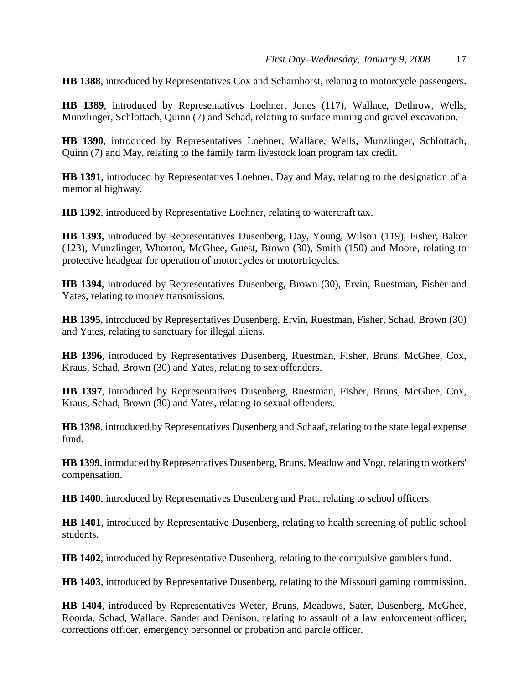**HB 1388**, introduced by Representatives Cox and Scharnhorst, relating to motorcycle passengers.

**HB 1389**, introduced by Representatives Loehner, Jones (117), Wallace, Dethrow, Wells, Munzlinger, Schlottach, Quinn (7) and Schad, relating to surface mining and gravel excavation.

**HB 1390**, introduced by Representatives Loehner, Wallace, Wells, Munzlinger, Schlottach, Quinn (7) and May, relating to the family farm livestock loan program tax credit.

**HB 1391**, introduced by Representatives Loehner, Day and May, relating to the designation of a memorial highway.

**HB 1392**, introduced by Representative Loehner, relating to watercraft tax.

**HB 1393**, introduced by Representatives Dusenberg, Day, Young, Wilson (119), Fisher, Baker (123), Munzlinger, Whorton, McGhee, Guest, Brown (30), Smith (150) and Moore, relating to protective headgear for operation of motorcycles or motortricycles.

**HB 1394**, introduced by Representatives Dusenberg, Brown (30), Ervin, Ruestman, Fisher and Yates, relating to money transmissions.

**HB 1395**, introduced by Representatives Dusenberg, Ervin, Ruestman, Fisher, Schad, Brown (30) and Yates, relating to sanctuary for illegal aliens.

**HB 1396**, introduced by Representatives Dusenberg, Ruestman, Fisher, Bruns, McGhee, Cox, Kraus, Schad, Brown (30) and Yates, relating to sex offenders.

**HB 1397**, introduced by Representatives Dusenberg, Ruestman, Fisher, Bruns, McGhee, Cox, Kraus, Schad, Brown (30) and Yates, relating to sexual offenders.

**HB 1398**, introduced by Representatives Dusenberg and Schaaf, relating to the state legal expense fund.

**HB 1399**, introduced by Representatives Dusenberg, Bruns, Meadow and Vogt, relating to workers' compensation.

**HB 1400**, introduced by Representatives Dusenberg and Pratt, relating to school officers.

**HB 1401**, introduced by Representative Dusenberg, relating to health screening of public school students.

**HB 1402**, introduced by Representative Dusenberg, relating to the compulsive gamblers fund.

**HB 1403**, introduced by Representative Dusenberg, relating to the Missouri gaming commission.

**HB 1404**, introduced by Representatives Weter, Bruns, Meadows, Sater, Dusenberg, McGhee, Roorda, Schad, Wallace, Sander and Denison, relating to assault of a law enforcement officer, corrections officer, emergency personnel or probation and parole officer.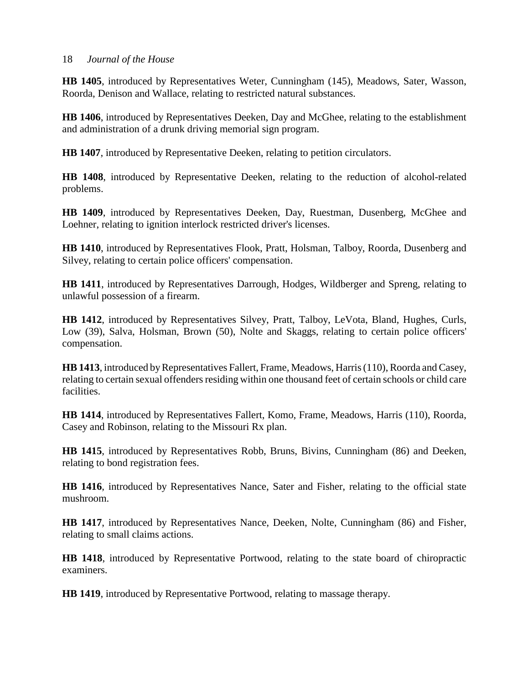**HB 1405**, introduced by Representatives Weter, Cunningham (145), Meadows, Sater, Wasson, Roorda, Denison and Wallace, relating to restricted natural substances.

**HB 1406**, introduced by Representatives Deeken, Day and McGhee, relating to the establishment and administration of a drunk driving memorial sign program.

**HB 1407**, introduced by Representative Deeken, relating to petition circulators.

**HB 1408**, introduced by Representative Deeken, relating to the reduction of alcohol-related problems.

**HB 1409**, introduced by Representatives Deeken, Day, Ruestman, Dusenberg, McGhee and Loehner, relating to ignition interlock restricted driver's licenses.

**HB 1410**, introduced by Representatives Flook, Pratt, Holsman, Talboy, Roorda, Dusenberg and Silvey, relating to certain police officers' compensation.

**HB 1411**, introduced by Representatives Darrough, Hodges, Wildberger and Spreng, relating to unlawful possession of a firearm.

**HB 1412**, introduced by Representatives Silvey, Pratt, Talboy, LeVota, Bland, Hughes, Curls, Low (39), Salva, Holsman, Brown (50), Nolte and Skaggs, relating to certain police officers' compensation.

**HB 1413**, introduced by Representatives Fallert, Frame, Meadows, Harris (110), Roorda and Casey, relating to certain sexual offenders residing within one thousand feet of certain schools or child care facilities.

**HB 1414**, introduced by Representatives Fallert, Komo, Frame, Meadows, Harris (110), Roorda, Casey and Robinson, relating to the Missouri Rx plan.

**HB 1415**, introduced by Representatives Robb, Bruns, Bivins, Cunningham (86) and Deeken, relating to bond registration fees.

**HB 1416**, introduced by Representatives Nance, Sater and Fisher, relating to the official state mushroom.

**HB 1417**, introduced by Representatives Nance, Deeken, Nolte, Cunningham (86) and Fisher, relating to small claims actions.

**HB 1418**, introduced by Representative Portwood, relating to the state board of chiropractic examiners.

**HB 1419**, introduced by Representative Portwood, relating to massage therapy.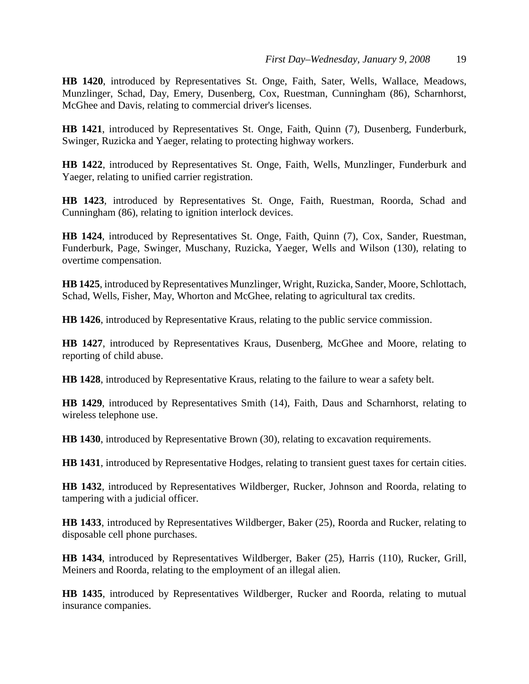**HB 1420**, introduced by Representatives St. Onge, Faith, Sater, Wells, Wallace, Meadows, Munzlinger, Schad, Day, Emery, Dusenberg, Cox, Ruestman, Cunningham (86), Scharnhorst, McGhee and Davis, relating to commercial driver's licenses.

**HB 1421**, introduced by Representatives St. Onge, Faith, Quinn (7), Dusenberg, Funderburk, Swinger, Ruzicka and Yaeger, relating to protecting highway workers.

**HB 1422**, introduced by Representatives St. Onge, Faith, Wells, Munzlinger, Funderburk and Yaeger, relating to unified carrier registration.

**HB 1423**, introduced by Representatives St. Onge, Faith, Ruestman, Roorda, Schad and Cunningham (86), relating to ignition interlock devices.

**HB 1424**, introduced by Representatives St. Onge, Faith, Quinn (7), Cox, Sander, Ruestman, Funderburk, Page, Swinger, Muschany, Ruzicka, Yaeger, Wells and Wilson (130), relating to overtime compensation.

**HB 1425**, introduced by Representatives Munzlinger, Wright, Ruzicka, Sander, Moore, Schlottach, Schad, Wells, Fisher, May, Whorton and McGhee, relating to agricultural tax credits.

**HB 1426**, introduced by Representative Kraus, relating to the public service commission.

**HB 1427**, introduced by Representatives Kraus, Dusenberg, McGhee and Moore, relating to reporting of child abuse.

**HB 1428**, introduced by Representative Kraus, relating to the failure to wear a safety belt.

**HB 1429**, introduced by Representatives Smith (14), Faith, Daus and Scharnhorst, relating to wireless telephone use.

**HB 1430**, introduced by Representative Brown (30), relating to excavation requirements.

**HB 1431**, introduced by Representative Hodges, relating to transient guest taxes for certain cities.

**HB 1432**, introduced by Representatives Wildberger, Rucker, Johnson and Roorda, relating to tampering with a judicial officer.

**HB 1433**, introduced by Representatives Wildberger, Baker (25), Roorda and Rucker, relating to disposable cell phone purchases.

**HB 1434**, introduced by Representatives Wildberger, Baker (25), Harris (110), Rucker, Grill, Meiners and Roorda, relating to the employment of an illegal alien.

**HB 1435**, introduced by Representatives Wildberger, Rucker and Roorda, relating to mutual insurance companies.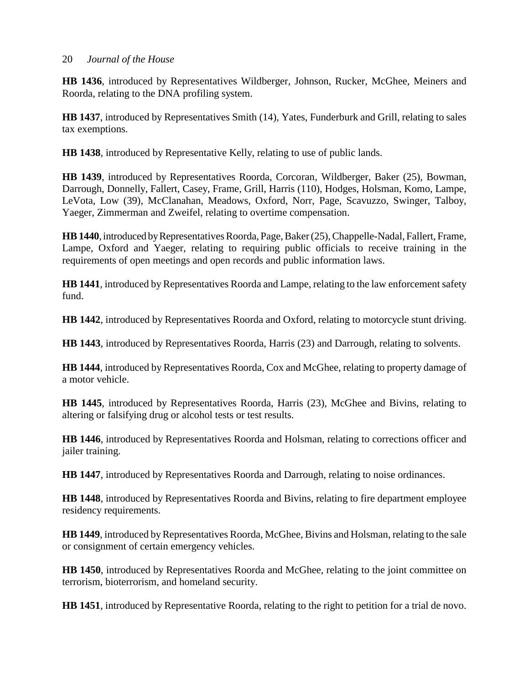**HB 1436**, introduced by Representatives Wildberger, Johnson, Rucker, McGhee, Meiners and Roorda, relating to the DNA profiling system.

**HB 1437**, introduced by Representatives Smith (14), Yates, Funderburk and Grill, relating to sales tax exemptions.

**HB 1438**, introduced by Representative Kelly, relating to use of public lands.

**HB 1439**, introduced by Representatives Roorda, Corcoran, Wildberger, Baker (25), Bowman, Darrough, Donnelly, Fallert, Casey, Frame, Grill, Harris (110), Hodges, Holsman, Komo, Lampe, LeVota, Low (39), McClanahan, Meadows, Oxford, Norr, Page, Scavuzzo, Swinger, Talboy, Yaeger, Zimmerman and Zweifel, relating to overtime compensation.

**HB 1440**, introduced by Representatives Roorda, Page, Baker (25), Chappelle-Nadal, Fallert, Frame, Lampe, Oxford and Yaeger, relating to requiring public officials to receive training in the requirements of open meetings and open records and public information laws.

**HB 1441**, introduced by Representatives Roorda and Lampe, relating to the law enforcement safety fund.

**HB 1442**, introduced by Representatives Roorda and Oxford, relating to motorcycle stunt driving.

**HB 1443**, introduced by Representatives Roorda, Harris (23) and Darrough, relating to solvents.

**HB 1444**, introduced by Representatives Roorda, Cox and McGhee, relating to property damage of a motor vehicle.

**HB 1445**, introduced by Representatives Roorda, Harris (23), McGhee and Bivins, relating to altering or falsifying drug or alcohol tests or test results.

**HB 1446**, introduced by Representatives Roorda and Holsman, relating to corrections officer and jailer training.

**HB 1447**, introduced by Representatives Roorda and Darrough, relating to noise ordinances.

**HB 1448**, introduced by Representatives Roorda and Bivins, relating to fire department employee residency requirements.

**HB 1449**, introduced by Representatives Roorda, McGhee, Bivins and Holsman, relating to the sale or consignment of certain emergency vehicles.

**HB 1450**, introduced by Representatives Roorda and McGhee, relating to the joint committee on terrorism, bioterrorism, and homeland security.

**HB 1451**, introduced by Representative Roorda, relating to the right to petition for a trial de novo.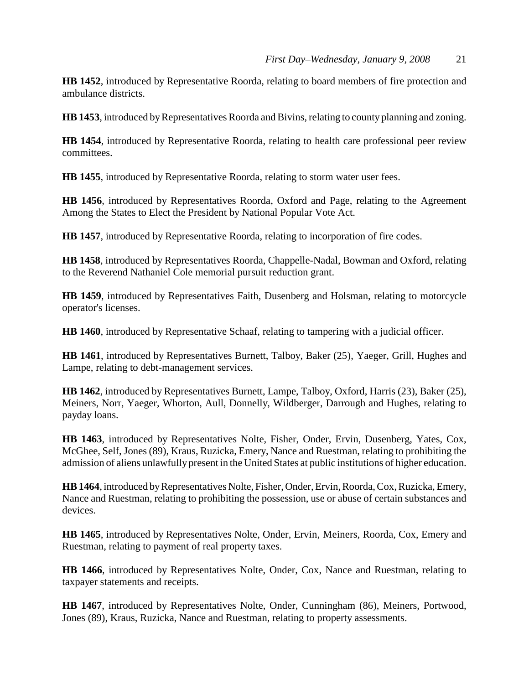**HB 1452**, introduced by Representative Roorda, relating to board members of fire protection and ambulance districts.

**HB 1453**, introduced by Representatives Roorda and Bivins, relating to county planning and zoning.

**HB 1454**, introduced by Representative Roorda, relating to health care professional peer review committees.

**HB 1455**, introduced by Representative Roorda, relating to storm water user fees.

**HB 1456**, introduced by Representatives Roorda, Oxford and Page, relating to the Agreement Among the States to Elect the President by National Popular Vote Act.

**HB 1457**, introduced by Representative Roorda, relating to incorporation of fire codes.

**HB 1458**, introduced by Representatives Roorda, Chappelle-Nadal, Bowman and Oxford, relating to the Reverend Nathaniel Cole memorial pursuit reduction grant.

**HB 1459**, introduced by Representatives Faith, Dusenberg and Holsman, relating to motorcycle operator's licenses.

**HB 1460**, introduced by Representative Schaaf, relating to tampering with a judicial officer.

**HB 1461**, introduced by Representatives Burnett, Talboy, Baker (25), Yaeger, Grill, Hughes and Lampe, relating to debt-management services.

**HB 1462**, introduced by Representatives Burnett, Lampe, Talboy, Oxford, Harris (23), Baker (25), Meiners, Norr, Yaeger, Whorton, Aull, Donnelly, Wildberger, Darrough and Hughes, relating to payday loans.

**HB 1463**, introduced by Representatives Nolte, Fisher, Onder, Ervin, Dusenberg, Yates, Cox, McGhee, Self, Jones (89), Kraus, Ruzicka, Emery, Nance and Ruestman, relating to prohibiting the admission of aliens unlawfully present in the United States at public institutions of higher education.

**HB 1464**, introduced by Representatives Nolte, Fisher, Onder, Ervin, Roorda, Cox, Ruzicka, Emery, Nance and Ruestman, relating to prohibiting the possession, use or abuse of certain substances and devices.

**HB 1465**, introduced by Representatives Nolte, Onder, Ervin, Meiners, Roorda, Cox, Emery and Ruestman, relating to payment of real property taxes.

**HB 1466**, introduced by Representatives Nolte, Onder, Cox, Nance and Ruestman, relating to taxpayer statements and receipts.

**HB 1467**, introduced by Representatives Nolte, Onder, Cunningham (86), Meiners, Portwood, Jones (89), Kraus, Ruzicka, Nance and Ruestman, relating to property assessments.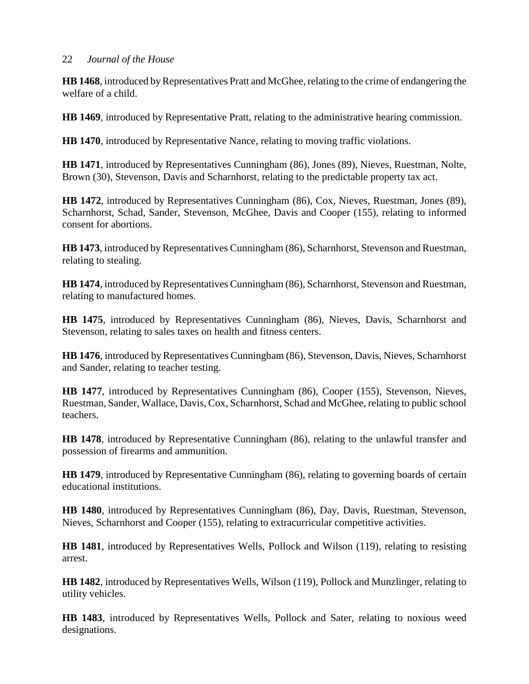**HB 1468**, introduced by Representatives Pratt and McGhee, relating to the crime of endangering the welfare of a child.

**HB 1469**, introduced by Representative Pratt, relating to the administrative hearing commission.

**HB 1470**, introduced by Representative Nance, relating to moving traffic violations.

**HB 1471**, introduced by Representatives Cunningham (86), Jones (89), Nieves, Ruestman, Nolte, Brown (30), Stevenson, Davis and Scharnhorst, relating to the predictable property tax act.

**HB 1472**, introduced by Representatives Cunningham (86), Cox, Nieves, Ruestman, Jones (89), Scharnhorst, Schad, Sander, Stevenson, McGhee, Davis and Cooper (155), relating to informed consent for abortions.

**HB 1473**, introduced by Representatives Cunningham (86), Scharnhorst, Stevenson and Ruestman, relating to stealing.

**HB 1474**, introduced by Representatives Cunningham (86), Scharnhorst, Stevenson and Ruestman, relating to manufactured homes.

**HB 1475**, introduced by Representatives Cunningham (86), Nieves, Davis, Scharnhorst and Stevenson, relating to sales taxes on health and fitness centers.

**HB 1476**, introduced by Representatives Cunningham (86), Stevenson, Davis, Nieves, Scharnhorst and Sander, relating to teacher testing.

**HB 1477**, introduced by Representatives Cunningham (86), Cooper (155), Stevenson, Nieves, Ruestman, Sander, Wallace, Davis, Cox, Scharnhorst, Schad and McGhee, relating to public school teachers.

**HB 1478**, introduced by Representative Cunningham (86), relating to the unlawful transfer and possession of firearms and ammunition.

**HB 1479**, introduced by Representative Cunningham (86), relating to governing boards of certain educational institutions.

**HB 1480**, introduced by Representatives Cunningham (86), Day, Davis, Ruestman, Stevenson, Nieves, Scharnhorst and Cooper (155), relating to extracurricular competitive activities.

**HB 1481**, introduced by Representatives Wells, Pollock and Wilson (119), relating to resisting arrest.

**HB 1482**, introduced by Representatives Wells, Wilson (119), Pollock and Munzlinger, relating to utility vehicles.

**HB 1483**, introduced by Representatives Wells, Pollock and Sater, relating to noxious weed designations.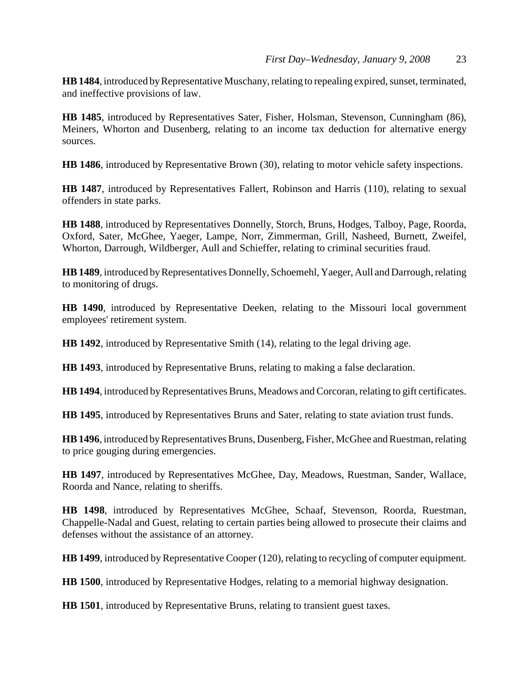**HB 1484**, introduced by Representative Muschany, relating to repealing expired, sunset, terminated, and ineffective provisions of law.

**HB 1485**, introduced by Representatives Sater, Fisher, Holsman, Stevenson, Cunningham (86), Meiners, Whorton and Dusenberg, relating to an income tax deduction for alternative energy sources.

**HB 1486**, introduced by Representative Brown (30), relating to motor vehicle safety inspections.

**HB 1487**, introduced by Representatives Fallert, Robinson and Harris (110), relating to sexual offenders in state parks.

**HB 1488**, introduced by Representatives Donnelly, Storch, Bruns, Hodges, Talboy, Page, Roorda, Oxford, Sater, McGhee, Yaeger, Lampe, Norr, Zimmerman, Grill, Nasheed, Burnett, Zweifel, Whorton, Darrough, Wildberger, Aull and Schieffer, relating to criminal securities fraud.

**HB 1489**, introduced by Representatives Donnelly, Schoemehl, Yaeger, Aull and Darrough, relating to monitoring of drugs.

**HB 1490**, introduced by Representative Deeken, relating to the Missouri local government employees' retirement system.

**HB 1492**, introduced by Representative Smith (14), relating to the legal driving age.

**HB 1493**, introduced by Representative Bruns, relating to making a false declaration.

**HB 1494**, introduced by Representatives Bruns, Meadows and Corcoran, relating to gift certificates.

**HB 1495**, introduced by Representatives Bruns and Sater, relating to state aviation trust funds.

**HB 1496**, introduced by Representatives Bruns, Dusenberg, Fisher, McGhee and Ruestman, relating to price gouging during emergencies.

**HB 1497**, introduced by Representatives McGhee, Day, Meadows, Ruestman, Sander, Wallace, Roorda and Nance, relating to sheriffs.

**HB 1498**, introduced by Representatives McGhee, Schaaf, Stevenson, Roorda, Ruestman, Chappelle-Nadal and Guest, relating to certain parties being allowed to prosecute their claims and defenses without the assistance of an attorney.

**HB 1499**, introduced by Representative Cooper (120), relating to recycling of computer equipment.

**HB 1500**, introduced by Representative Hodges, relating to a memorial highway designation.

**HB 1501**, introduced by Representative Bruns, relating to transient guest taxes.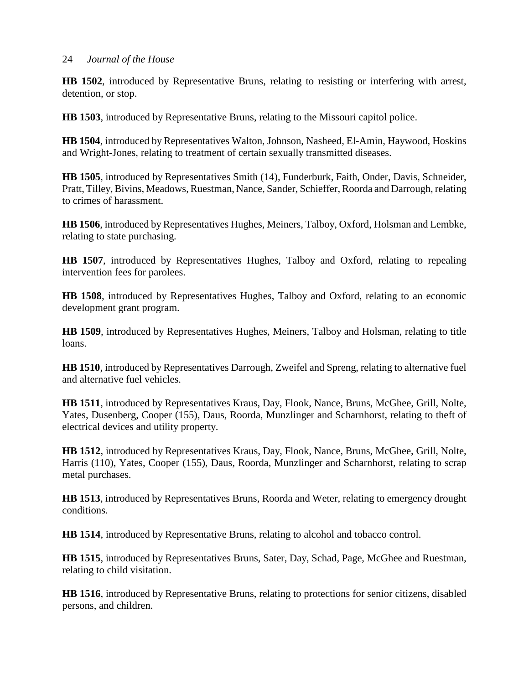**HB 1502**, introduced by Representative Bruns, relating to resisting or interfering with arrest, detention, or stop.

**HB 1503**, introduced by Representative Bruns, relating to the Missouri capitol police.

**HB 1504**, introduced by Representatives Walton, Johnson, Nasheed, El-Amin, Haywood, Hoskins and Wright-Jones, relating to treatment of certain sexually transmitted diseases.

**HB 1505**, introduced by Representatives Smith (14), Funderburk, Faith, Onder, Davis, Schneider, Pratt, Tilley, Bivins, Meadows, Ruestman, Nance, Sander, Schieffer, Roorda and Darrough, relating to crimes of harassment.

**HB 1506**, introduced by Representatives Hughes, Meiners, Talboy, Oxford, Holsman and Lembke, relating to state purchasing.

**HB 1507**, introduced by Representatives Hughes, Talboy and Oxford, relating to repealing intervention fees for parolees.

**HB 1508**, introduced by Representatives Hughes, Talboy and Oxford, relating to an economic development grant program.

**HB 1509**, introduced by Representatives Hughes, Meiners, Talboy and Holsman, relating to title loans.

**HB 1510**, introduced by Representatives Darrough, Zweifel and Spreng, relating to alternative fuel and alternative fuel vehicles.

**HB 1511**, introduced by Representatives Kraus, Day, Flook, Nance, Bruns, McGhee, Grill, Nolte, Yates, Dusenberg, Cooper (155), Daus, Roorda, Munzlinger and Scharnhorst, relating to theft of electrical devices and utility property.

**HB 1512**, introduced by Representatives Kraus, Day, Flook, Nance, Bruns, McGhee, Grill, Nolte, Harris (110), Yates, Cooper (155), Daus, Roorda, Munzlinger and Scharnhorst, relating to scrap metal purchases.

**HB 1513**, introduced by Representatives Bruns, Roorda and Weter, relating to emergency drought conditions.

**HB 1514**, introduced by Representative Bruns, relating to alcohol and tobacco control.

**HB 1515**, introduced by Representatives Bruns, Sater, Day, Schad, Page, McGhee and Ruestman, relating to child visitation.

**HB 1516**, introduced by Representative Bruns, relating to protections for senior citizens, disabled persons, and children.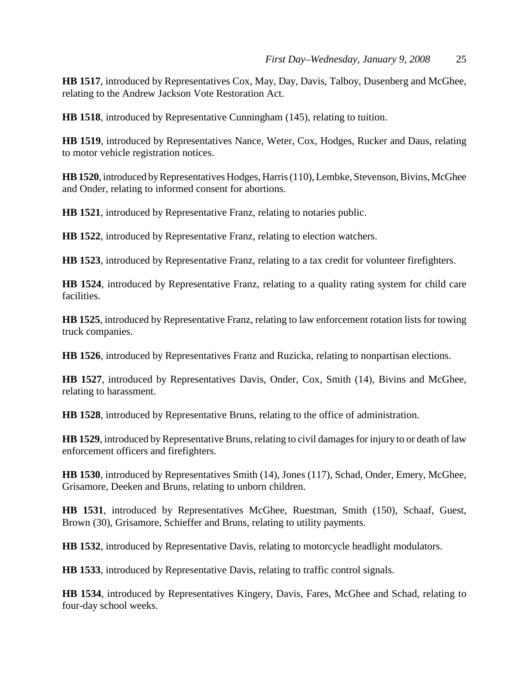**HB 1517**, introduced by Representatives Cox, May, Day, Davis, Talboy, Dusenberg and McGhee, relating to the Andrew Jackson Vote Restoration Act.

**HB 1518**, introduced by Representative Cunningham (145), relating to tuition.

**HB 1519**, introduced by Representatives Nance, Weter, Cox, Hodges, Rucker and Daus, relating to motor vehicle registration notices.

**HB 1520**, introduced by Representatives Hodges, Harris (110), Lembke, Stevenson, Bivins, McGhee and Onder, relating to informed consent for abortions.

**HB 1521**, introduced by Representative Franz, relating to notaries public.

**HB 1522**, introduced by Representative Franz, relating to election watchers.

**HB 1523**, introduced by Representative Franz, relating to a tax credit for volunteer firefighters.

**HB 1524**, introduced by Representative Franz, relating to a quality rating system for child care facilities.

**HB 1525**, introduced by Representative Franz, relating to law enforcement rotation lists for towing truck companies.

**HB 1526**, introduced by Representatives Franz and Ruzicka, relating to nonpartisan elections.

**HB 1527**, introduced by Representatives Davis, Onder, Cox, Smith (14), Bivins and McGhee, relating to harassment.

**HB 1528**, introduced by Representative Bruns, relating to the office of administration.

**HB 1529**, introduced by Representative Bruns, relating to civil damages for injury to or death of law enforcement officers and firefighters.

**HB 1530**, introduced by Representatives Smith (14), Jones (117), Schad, Onder, Emery, McGhee, Grisamore, Deeken and Bruns, relating to unborn children.

**HB 1531**, introduced by Representatives McGhee, Ruestman, Smith (150), Schaaf, Guest, Brown (30), Grisamore, Schieffer and Bruns, relating to utility payments.

**HB 1532**, introduced by Representative Davis, relating to motorcycle headlight modulators.

**HB 1533**, introduced by Representative Davis, relating to traffic control signals.

**HB 1534**, introduced by Representatives Kingery, Davis, Fares, McGhee and Schad, relating to four-day school weeks.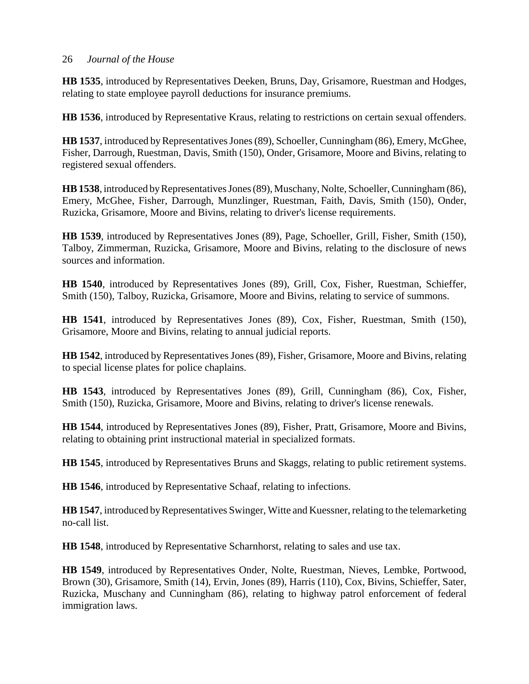**HB 1535**, introduced by Representatives Deeken, Bruns, Day, Grisamore, Ruestman and Hodges, relating to state employee payroll deductions for insurance premiums.

**HB 1536**, introduced by Representative Kraus, relating to restrictions on certain sexual offenders.

**HB 1537**, introduced by Representatives Jones (89), Schoeller, Cunningham (86), Emery, McGhee, Fisher, Darrough, Ruestman, Davis, Smith (150), Onder, Grisamore, Moore and Bivins, relating to registered sexual offenders.

**HB 1538**, introduced by Representatives Jones (89), Muschany, Nolte, Schoeller, Cunningham (86), Emery, McGhee, Fisher, Darrough, Munzlinger, Ruestman, Faith, Davis, Smith (150), Onder, Ruzicka, Grisamore, Moore and Bivins, relating to driver's license requirements.

**HB 1539**, introduced by Representatives Jones (89), Page, Schoeller, Grill, Fisher, Smith (150), Talboy, Zimmerman, Ruzicka, Grisamore, Moore and Bivins, relating to the disclosure of news sources and information.

**HB 1540**, introduced by Representatives Jones (89), Grill, Cox, Fisher, Ruestman, Schieffer, Smith (150), Talboy, Ruzicka, Grisamore, Moore and Bivins, relating to service of summons.

**HB 1541**, introduced by Representatives Jones (89), Cox, Fisher, Ruestman, Smith (150), Grisamore, Moore and Bivins, relating to annual judicial reports.

**HB 1542**, introduced by Representatives Jones (89), Fisher, Grisamore, Moore and Bivins, relating to special license plates for police chaplains.

**HB 1543**, introduced by Representatives Jones (89), Grill, Cunningham (86), Cox, Fisher, Smith (150), Ruzicka, Grisamore, Moore and Bivins, relating to driver's license renewals.

**HB 1544**, introduced by Representatives Jones (89), Fisher, Pratt, Grisamore, Moore and Bivins, relating to obtaining print instructional material in specialized formats.

**HB 1545**, introduced by Representatives Bruns and Skaggs, relating to public retirement systems.

**HB 1546**, introduced by Representative Schaaf, relating to infections.

**HB 1547**, introduced by Representatives Swinger, Witte and Kuessner, relating to the telemarketing no-call list.

**HB 1548**, introduced by Representative Scharnhorst, relating to sales and use tax.

**HB 1549**, introduced by Representatives Onder, Nolte, Ruestman, Nieves, Lembke, Portwood, Brown (30), Grisamore, Smith (14), Ervin, Jones (89), Harris (110), Cox, Bivins, Schieffer, Sater, Ruzicka, Muschany and Cunningham (86), relating to highway patrol enforcement of federal immigration laws.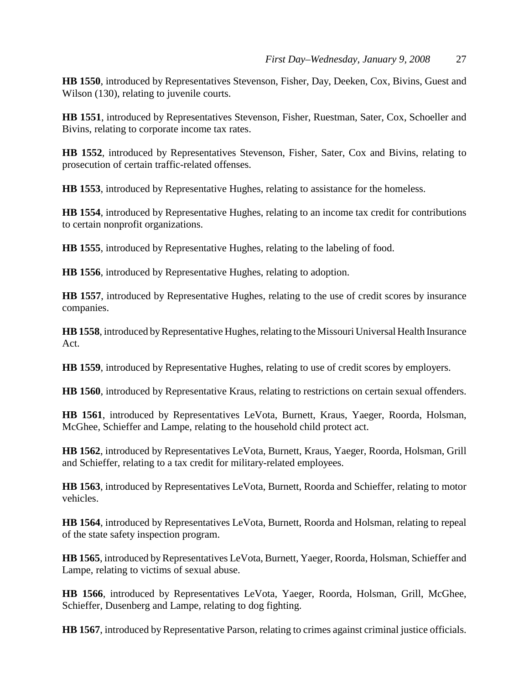**HB 1550**, introduced by Representatives Stevenson, Fisher, Day, Deeken, Cox, Bivins, Guest and Wilson (130), relating to juvenile courts.

**HB 1551**, introduced by Representatives Stevenson, Fisher, Ruestman, Sater, Cox, Schoeller and Bivins, relating to corporate income tax rates.

**HB 1552**, introduced by Representatives Stevenson, Fisher, Sater, Cox and Bivins, relating to prosecution of certain traffic-related offenses.

**HB 1553**, introduced by Representative Hughes, relating to assistance for the homeless.

**HB 1554**, introduced by Representative Hughes, relating to an income tax credit for contributions to certain nonprofit organizations.

**HB 1555**, introduced by Representative Hughes, relating to the labeling of food.

**HB 1556**, introduced by Representative Hughes, relating to adoption.

**HB 1557**, introduced by Representative Hughes, relating to the use of credit scores by insurance companies.

**HB 1558**, introduced by Representative Hughes, relating to the Missouri Universal Health Insurance Act.

**HB 1559**, introduced by Representative Hughes, relating to use of credit scores by employers.

**HB 1560**, introduced by Representative Kraus, relating to restrictions on certain sexual offenders.

**HB 1561**, introduced by Representatives LeVota, Burnett, Kraus, Yaeger, Roorda, Holsman, McGhee, Schieffer and Lampe, relating to the household child protect act.

**HB 1562**, introduced by Representatives LeVota, Burnett, Kraus, Yaeger, Roorda, Holsman, Grill and Schieffer, relating to a tax credit for military-related employees.

**HB 1563**, introduced by Representatives LeVota, Burnett, Roorda and Schieffer, relating to motor vehicles.

**HB 1564**, introduced by Representatives LeVota, Burnett, Roorda and Holsman, relating to repeal of the state safety inspection program.

**HB 1565**, introduced by Representatives LeVota, Burnett, Yaeger, Roorda, Holsman, Schieffer and Lampe, relating to victims of sexual abuse.

**HB 1566**, introduced by Representatives LeVota, Yaeger, Roorda, Holsman, Grill, McGhee, Schieffer, Dusenberg and Lampe, relating to dog fighting.

**HB 1567**, introduced by Representative Parson, relating to crimes against criminal justice officials.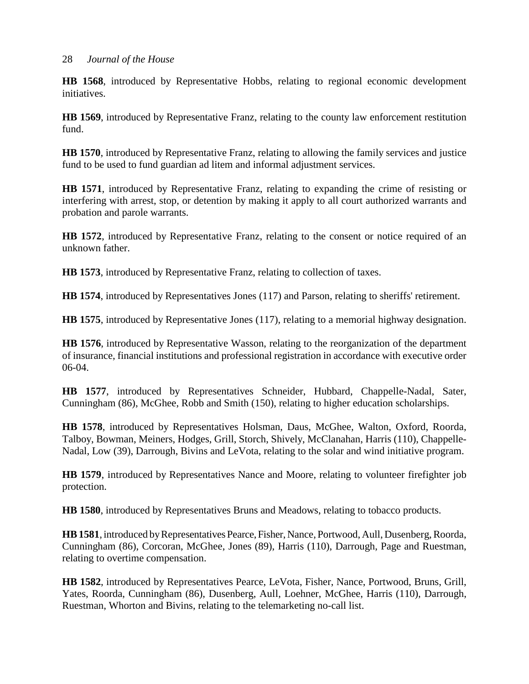**HB 1568**, introduced by Representative Hobbs, relating to regional economic development initiatives.

**HB 1569**, introduced by Representative Franz, relating to the county law enforcement restitution fund.

**HB 1570**, introduced by Representative Franz, relating to allowing the family services and justice fund to be used to fund guardian ad litem and informal adjustment services.

**HB 1571**, introduced by Representative Franz, relating to expanding the crime of resisting or interfering with arrest, stop, or detention by making it apply to all court authorized warrants and probation and parole warrants.

**HB 1572**, introduced by Representative Franz, relating to the consent or notice required of an unknown father.

**HB 1573**, introduced by Representative Franz, relating to collection of taxes.

**HB 1574**, introduced by Representatives Jones (117) and Parson, relating to sheriffs' retirement.

**HB 1575**, introduced by Representative Jones (117), relating to a memorial highway designation.

**HB 1576**, introduced by Representative Wasson, relating to the reorganization of the department of insurance, financial institutions and professional registration in accordance with executive order 06-04.

**HB 1577**, introduced by Representatives Schneider, Hubbard, Chappelle-Nadal, Sater, Cunningham (86), McGhee, Robb and Smith (150), relating to higher education scholarships.

**HB 1578**, introduced by Representatives Holsman, Daus, McGhee, Walton, Oxford, Roorda, Talboy, Bowman, Meiners, Hodges, Grill, Storch, Shively, McClanahan, Harris (110), Chappelle-Nadal, Low (39), Darrough, Bivins and LeVota, relating to the solar and wind initiative program.

**HB 1579**, introduced by Representatives Nance and Moore, relating to volunteer firefighter job protection.

**HB 1580**, introduced by Representatives Bruns and Meadows, relating to tobacco products.

**HB 1581**, introduced by Representatives Pearce, Fisher, Nance, Portwood, Aull, Dusenberg, Roorda, Cunningham (86), Corcoran, McGhee, Jones (89), Harris (110), Darrough, Page and Ruestman, relating to overtime compensation.

**HB 1582**, introduced by Representatives Pearce, LeVota, Fisher, Nance, Portwood, Bruns, Grill, Yates, Roorda, Cunningham (86), Dusenberg, Aull, Loehner, McGhee, Harris (110), Darrough, Ruestman, Whorton and Bivins, relating to the telemarketing no-call list.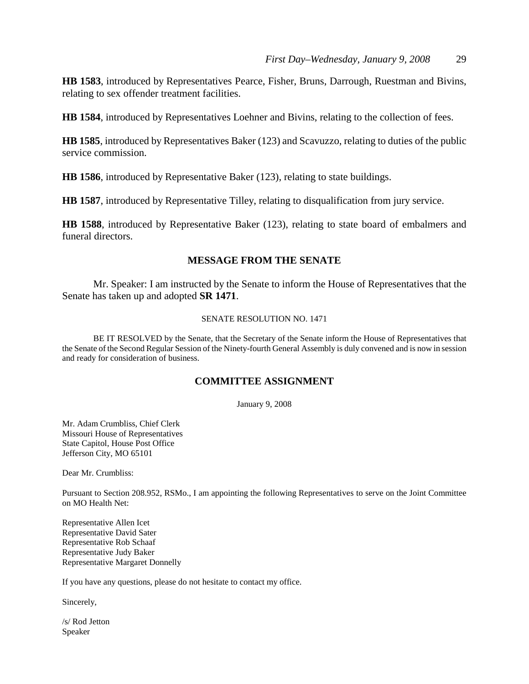**HB 1583**, introduced by Representatives Pearce, Fisher, Bruns, Darrough, Ruestman and Bivins, relating to sex offender treatment facilities.

**HB 1584**, introduced by Representatives Loehner and Bivins, relating to the collection of fees.

**HB 1585**, introduced by Representatives Baker (123) and Scavuzzo, relating to duties of the public service commission.

**HB 1586**, introduced by Representative Baker (123), relating to state buildings.

**HB 1587**, introduced by Representative Tilley, relating to disqualification from jury service.

**HB 1588**, introduced by Representative Baker (123), relating to state board of embalmers and funeral directors.

#### **MESSAGE FROM THE SENATE**

Mr. Speaker: I am instructed by the Senate to inform the House of Representatives that the Senate has taken up and adopted **SR 1471**.

#### SENATE RESOLUTION NO. 1471

BE IT RESOLVED by the Senate, that the Secretary of the Senate inform the House of Representatives that the Senate of the Second Regular Session of the Ninety-fourth General Assembly is duly convened and is now in session and ready for consideration of business.

#### **COMMITTEE ASSIGNMENT**

January 9, 2008

Mr. Adam Crumbliss, Chief Clerk Missouri House of Representatives State Capitol, House Post Office Jefferson City, MO 65101

Dear Mr. Crumbliss:

Pursuant to Section 208.952, RSMo., I am appointing the following Representatives to serve on the Joint Committee on MO Health Net:

Representative Allen Icet Representative David Sater Representative Rob Schaaf Representative Judy Baker Representative Margaret Donnelly

If you have any questions, please do not hesitate to contact my office.

Sincerely,

/s/ Rod Jetton Speaker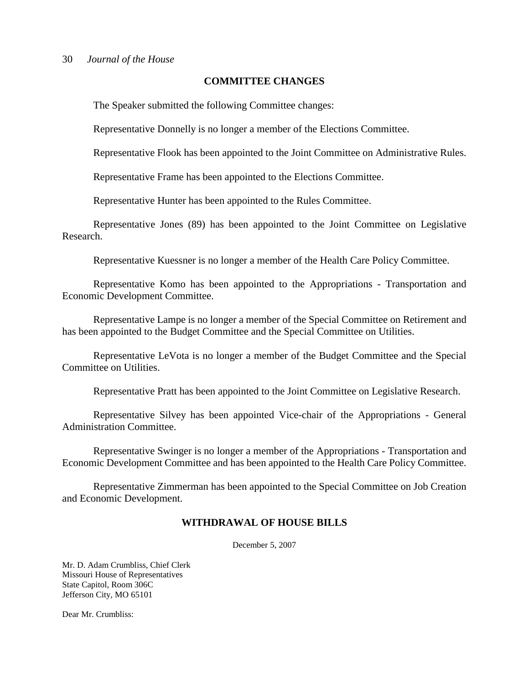#### **COMMITTEE CHANGES**

The Speaker submitted the following Committee changes:

Representative Donnelly is no longer a member of the Elections Committee.

Representative Flook has been appointed to the Joint Committee on Administrative Rules.

Representative Frame has been appointed to the Elections Committee.

Representative Hunter has been appointed to the Rules Committee.

Representative Jones (89) has been appointed to the Joint Committee on Legislative Research.

Representative Kuessner is no longer a member of the Health Care Policy Committee.

Representative Komo has been appointed to the Appropriations - Transportation and Economic Development Committee.

Representative Lampe is no longer a member of the Special Committee on Retirement and has been appointed to the Budget Committee and the Special Committee on Utilities.

Representative LeVota is no longer a member of the Budget Committee and the Special Committee on Utilities.

Representative Pratt has been appointed to the Joint Committee on Legislative Research.

Representative Silvey has been appointed Vice-chair of the Appropriations - General Administration Committee.

Representative Swinger is no longer a member of the Appropriations - Transportation and Economic Development Committee and has been appointed to the Health Care Policy Committee.

Representative Zimmerman has been appointed to the Special Committee on Job Creation and Economic Development.

#### **WITHDRAWAL OF HOUSE BILLS**

December 5, 2007

Mr. D. Adam Crumbliss, Chief Clerk Missouri House of Representatives State Capitol, Room 306C Jefferson City, MO 65101

Dear Mr. Crumbliss: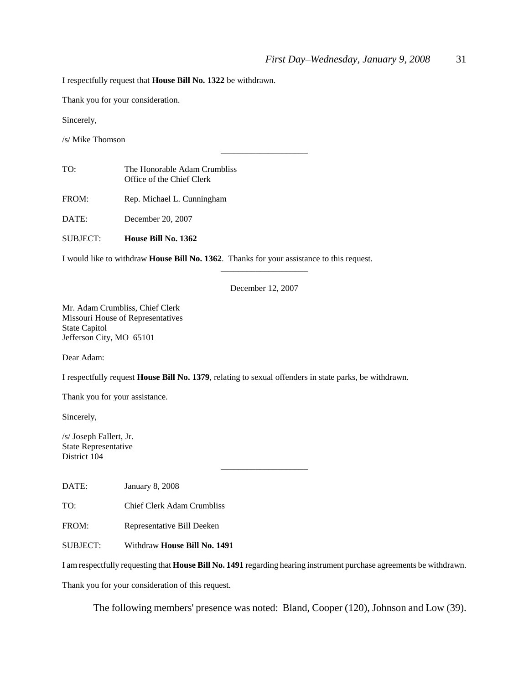I respectfully request that **House Bill No. 1322** be withdrawn.

Thank you for your consideration.

Sincerely,

/s/ Mike Thomson

| TO: | The Honorable Adam Crumbliss |
|-----|------------------------------|
|     | Office of the Chief Clerk    |

FROM: Rep. Michael L. Cunningham

DATE: December 20, 2007

SUBJECT: **House Bill No. 1362**

I would like to withdraw **House Bill No. 1362**. Thanks for your assistance to this request.

December 12, 2007

\_\_\_\_\_\_\_\_\_\_\_\_\_\_\_\_\_\_\_\_

\_\_\_\_\_\_\_\_\_\_\_\_\_\_\_\_\_\_\_\_

Mr. Adam Crumbliss, Chief Clerk Missouri House of Representatives State Capitol Jefferson City, MO 65101

Dear Adam:

I respectfully request **House Bill No. 1379**, relating to sexual offenders in state parks, be withdrawn.

Thank you for your assistance.

Sincerely,

/s/ Joseph Fallert, Jr. State Representative District 104

DATE: January 8, 2008

TO: Chief Clerk Adam Crumbliss

FROM: Representative Bill Deeken

SUBJECT: Withdraw **House Bill No. 1491**

I am respectfully requesting that **House Bill No. 1491** regarding hearing instrument purchase agreements be withdrawn.

\_\_\_\_\_\_\_\_\_\_\_\_\_\_\_\_\_\_\_\_

Thank you for your consideration of this request.

The following members' presence was noted: Bland, Cooper (120), Johnson and Low (39).